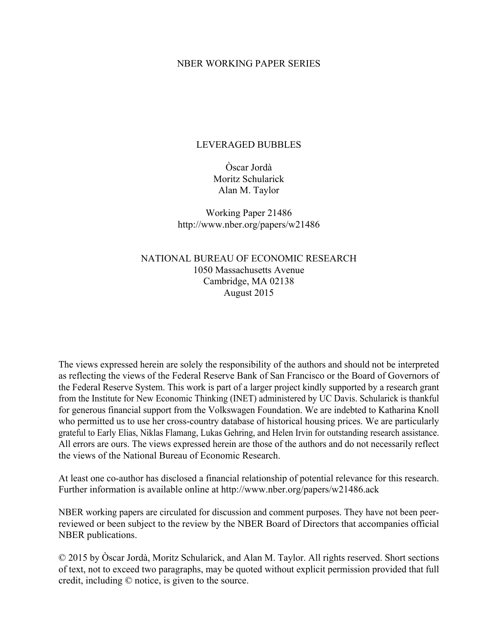### NBER WORKING PAPER SERIES

### LEVERAGED BUBBLES

Òscar Jordà Moritz Schularick Alan M. Taylor

Working Paper 21486 http://www.nber.org/papers/w21486

### NATIONAL BUREAU OF ECONOMIC RESEARCH 1050 Massachusetts Avenue Cambridge, MA 02138 August 2015

The views expressed herein are solely the responsibility of the authors and should not be interpreted as reflecting the views of the Federal Reserve Bank of San Francisco or the Board of Governors of the Federal Reserve System. This work is part of a larger project kindly supported by a research grant from the Institute for New Economic Thinking (INET) administered by UC Davis. Schularick is thankful for generous financial support from the Volkswagen Foundation. We are indebted to Katharina Knoll who permitted us to use her cross-country database of historical housing prices. We are particularly grateful to Early Elias, Niklas Flamang, Lukas Gehring, and Helen Irvin for outstanding research assistance. All errors are ours. The views expressed herein are those of the authors and do not necessarily reflect the views of the National Bureau of Economic Research.

At least one co-author has disclosed a financial relationship of potential relevance for this research. Further information is available online at http://www.nber.org/papers/w21486.ack

NBER working papers are circulated for discussion and comment purposes. They have not been peerreviewed or been subject to the review by the NBER Board of Directors that accompanies official NBER publications.

© 2015 by Òscar Jordà, Moritz Schularick, and Alan M. Taylor. All rights reserved. Short sections of text, not to exceed two paragraphs, may be quoted without explicit permission provided that full credit, including © notice, is given to the source.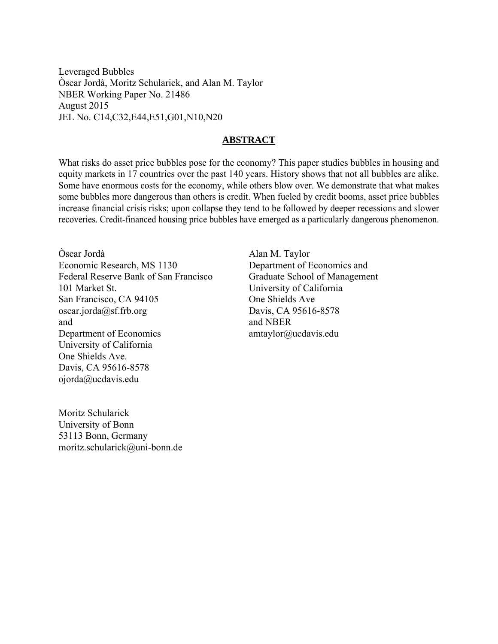Leveraged Bubbles Òscar Jordà, Moritz Schularick, and Alan M. Taylor NBER Working Paper No. 21486 August 2015 JEL No. C14,C32,E44,E51,G01,N10,N20

#### **ABSTRACT**

What risks do asset price bubbles pose for the economy? This paper studies bubbles in housing and equity markets in 17 countries over the past 140 years. History shows that not all bubbles are alike. Some have enormous costs for the economy, while others blow over. We demonstrate that what makes some bubbles more dangerous than others is credit. When fueled by credit booms, asset price bubbles increase financial crisis risks; upon collapse they tend to be followed by deeper recessions and slower recoveries. Credit-financed housing price bubbles have emerged as a particularly dangerous phenomenon.

Òscar Jordà Economic Research, MS 1130 Federal Reserve Bank of San Francisco 101 Market St. San Francisco, CA 94105 oscar.jorda@sf.frb.org and Department of Economics University of California One Shields Ave. Davis, CA 95616-8578 ojorda@ucdavis.edu

Moritz Schularick University of Bonn 53113 Bonn, Germany moritz.schularick@uni-bonn.de

Alan M. Taylor Department of Economics and Graduate School of Management University of California One Shields Ave Davis, CA 95616-8578 and NBER amtaylor@ucdavis.edu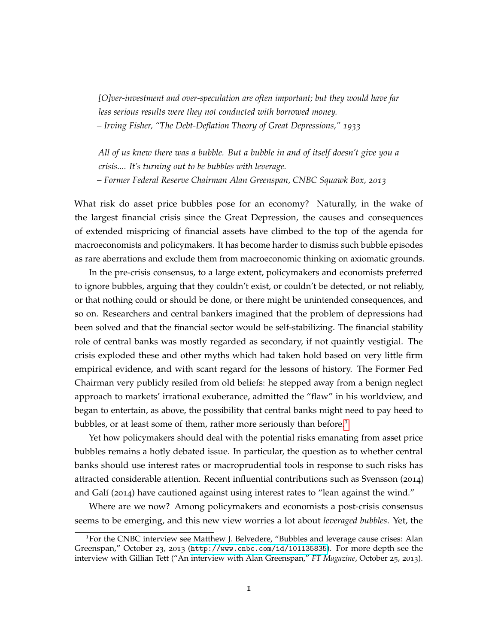*[O]ver-investment and over-speculation are often important; but they would have far less serious results were they not conducted with borrowed money. – Irving Fisher, "The Debt-Deflation Theory of Great Depressions," 1933*

*All of us knew there was a bubble. But a bubble in and of itself doesn't give you a crisis.... It's turning out to be bubbles with leverage. – Former Federal Reserve Chairman Alan Greenspan, CNBC Squawk Box, 2013*

What risk do asset price bubbles pose for an economy? Naturally, in the wake of the largest financial crisis since the Great Depression, the causes and consequences of extended mispricing of financial assets have climbed to the top of the agenda for macroeconomists and policymakers. It has become harder to dismiss such bubble episodes as rare aberrations and exclude them from macroeconomic thinking on axiomatic grounds.

In the pre-crisis consensus, to a large extent, policymakers and economists preferred to ignore bubbles, arguing that they couldn't exist, or couldn't be detected, or not reliably, or that nothing could or should be done, or there might be unintended consequences, and so on. Researchers and central bankers imagined that the problem of depressions had been solved and that the financial sector would be self-stabilizing. The financial stability role of central banks was mostly regarded as secondary, if not quaintly vestigial. The crisis exploded these and other myths which had taken hold based on very little firm empirical evidence, and with scant regard for the lessons of history. The Former Fed Chairman very publicly resiled from old beliefs: he stepped away from a benign neglect approach to markets' irrational exuberance, admitted the "flaw" in his worldview, and began to entertain, as above, the possibility that central banks might need to pay heed to bubbles, or at least some of them, rather more seriously than before.<sup>[1](#page-2-0)</sup>

Yet how policymakers should deal with the potential risks emanating from asset price bubbles remains a hotly debated issue. In particular, the question as to whether central banks should use interest rates or macroprudential tools in response to such risks has attracted considerable attention. Recent influential contributions such as Svensson (2014) and Galí  $(2014)$  have cautioned against using interest rates to "lean against the wind."

Where are we now? Among policymakers and economists a post-crisis consensus seems to be emerging, and this new view worries a lot about *leveraged bubbles*. Yet, the

<span id="page-2-0"></span><sup>1</sup>For the CNBC interview see Matthew J. Belvedere, "Bubbles and leverage cause crises: Alan Greenspan," October 23, 2013 (<http://www.cnbc.com/id/101135835>). For more depth see the interview with Gillian Tett ("An interview with Alan Greenspan," *FT Magazine*, October 25, 2013).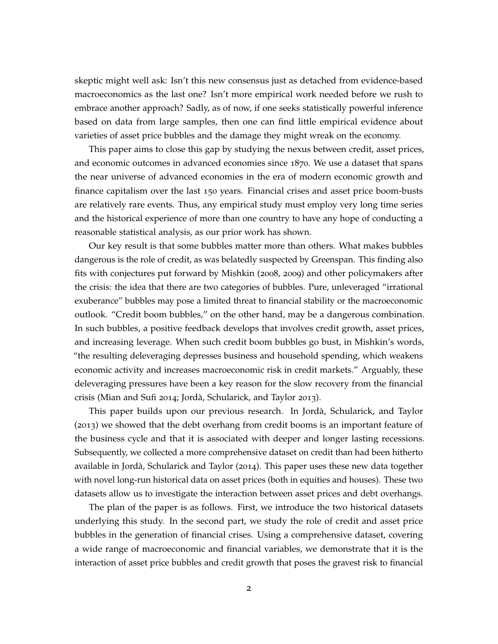skeptic might well ask: Isn't this new consensus just as detached from evidence-based macroeconomics as the last one? Isn't more empirical work needed before we rush to embrace another approach? Sadly, as of now, if one seeks statistically powerful inference based on data from large samples, then one can find little empirical evidence about varieties of asset price bubbles and the damage they might wreak on the economy.

This paper aims to close this gap by studying the nexus between credit, asset prices, and economic outcomes in advanced economies since 1870. We use a dataset that spans the near universe of advanced economies in the era of modern economic growth and finance capitalism over the last 150 years. Financial crises and asset price boom-busts are relatively rare events. Thus, any empirical study must employ very long time series and the historical experience of more than one country to have any hope of conducting a reasonable statistical analysis, as our prior work has shown.

Our key result is that some bubbles matter more than others. What makes bubbles dangerous is the role of credit, as was belatedly suspected by Greenspan. This finding also fits with conjectures put forward by Mishkin (2008, 2009) and other policymakers after the crisis: the idea that there are two categories of bubbles. Pure, unleveraged "irrational exuberance" bubbles may pose a limited threat to financial stability or the macroeconomic outlook. "Credit boom bubbles," on the other hand, may be a dangerous combination. In such bubbles, a positive feedback develops that involves credit growth, asset prices, and increasing leverage. When such credit boom bubbles go bust, in Mishkin's words, "the resulting deleveraging depresses business and household spending, which weakens economic activity and increases macroeconomic risk in credit markets." Arguably, these deleveraging pressures have been a key reason for the slow recovery from the financial crisis (Mian and Sufi 2014; Jordà, Schularick, and Taylor 2013).

This paper builds upon our previous research. In Jorda, Schularick, and Taylor ` (2013) we showed that the debt overhang from credit booms is an important feature of the business cycle and that it is associated with deeper and longer lasting recessions. Subsequently, we collected a more comprehensive dataset on credit than had been hitherto available in Jordà, Schularick and Taylor (2014). This paper uses these new data together with novel long-run historical data on asset prices (both in equities and houses). These two datasets allow us to investigate the interaction between asset prices and debt overhangs.

The plan of the paper is as follows. First, we introduce the two historical datasets underlying this study. In the second part, we study the role of credit and asset price bubbles in the generation of financial crises. Using a comprehensive dataset, covering a wide range of macroeconomic and financial variables, we demonstrate that it is the interaction of asset price bubbles and credit growth that poses the gravest risk to financial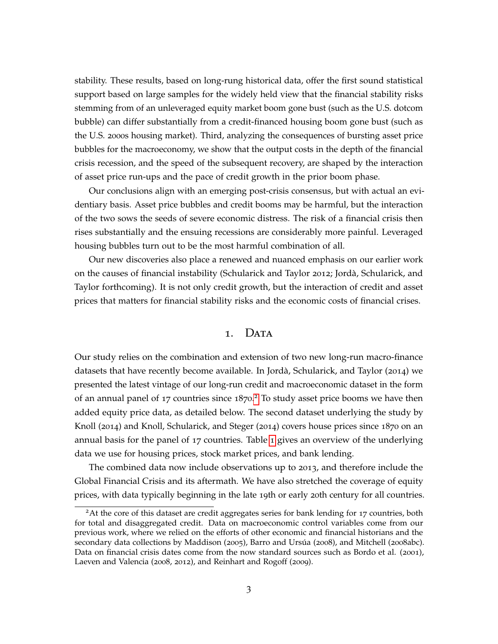stability. These results, based on long-rung historical data, offer the first sound statistical support based on large samples for the widely held view that the financial stability risks stemming from of an unleveraged equity market boom gone bust (such as the U.S. dotcom bubble) can differ substantially from a credit-financed housing boom gone bust (such as the U.S. 2000s housing market). Third, analyzing the consequences of bursting asset price bubbles for the macroeconomy, we show that the output costs in the depth of the financial crisis recession, and the speed of the subsequent recovery, are shaped by the interaction of asset price run-ups and the pace of credit growth in the prior boom phase.

Our conclusions align with an emerging post-crisis consensus, but with actual an evidentiary basis. Asset price bubbles and credit booms may be harmful, but the interaction of the two sows the seeds of severe economic distress. The risk of a financial crisis then rises substantially and the ensuing recessions are considerably more painful. Leveraged housing bubbles turn out to be the most harmful combination of all.

Our new discoveries also place a renewed and nuanced emphasis on our earlier work on the causes of financial instability (Schularick and Taylor 2012; Jorda, Schularick, and ` Taylor forthcoming). It is not only credit growth, but the interaction of credit and asset prices that matters for financial stability risks and the economic costs of financial crises.

### 1. DATA

Our study relies on the combination and extension of two new long-run macro-finance datasets that have recently become available. In Jordà, Schularick, and Taylor (2014) we presented the latest vintage of our long-run credit and macroeconomic dataset in the form of an annual panel of 17 countries since 1870.<sup>[2](#page-4-0)</sup> To study asset price booms we have then added equity price data, as detailed below. The second dataset underlying the study by Knoll (2014) and Knoll, Schularick, and Steger (2014) covers house prices since 1870 on an annual basis for the panel of 17 countries. Table [1](#page-5-0) gives an overview of the underlying data we use for housing prices, stock market prices, and bank lending.

The combined data now include observations up to 2013, and therefore include the Global Financial Crisis and its aftermath. We have also stretched the coverage of equity prices, with data typically beginning in the late 19th or early 20th century for all countries.

<span id="page-4-0"></span><sup>&</sup>lt;sup>2</sup>At the core of this dataset are credit aggregates series for bank lending for 17 countries, both for total and disaggregated credit. Data on macroeconomic control variables come from our previous work, where we relied on the efforts of other economic and financial historians and the secondary data collections by Maddison (2005), Barro and Ursúa (2008), and Mitchell (2008abc). Data on financial crisis dates come from the now standard sources such as Bordo et al. (2001), Laeven and Valencia (2008, 2012), and Reinhart and Rogoff (2009).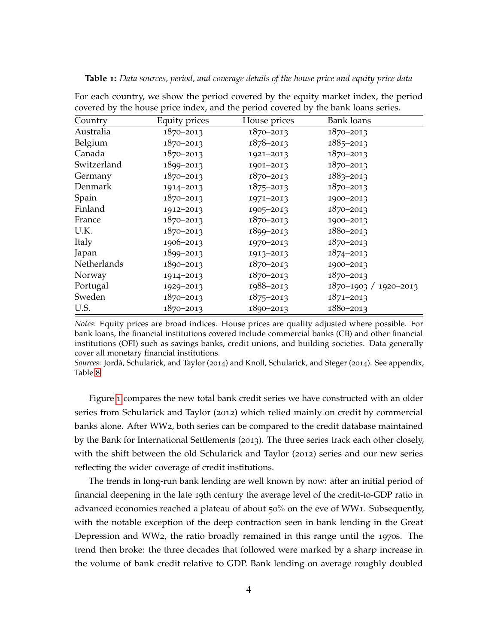<span id="page-5-0"></span>**Table 1:** *Data sources, period, and coverage details of the house price and equity price data*

| Country     | Equity prices | House prices  | <b>Bank loans</b>     |
|-------------|---------------|---------------|-----------------------|
| Australia   | $1870 - 2013$ | $1870 - 2013$ | $1870 - 2013$         |
| Belgium     | $1870 - 2013$ | $1878 - 2013$ | $1885 - 2013$         |
| Canada      | $1870 - 2013$ | 1921-2013     | $1870 - 2013$         |
| Switzerland | $1899 - 2013$ | 1901-2013     | $1870 - 2013$         |
| Germany     | $1870 - 2013$ | $1870 - 2013$ | $1883 - 2013$         |
| Denmark     | 1914-2013     | $1875 - 2013$ | $1870 - 2013$         |
| Spain       | $1870 - 2013$ | 1971-2013     | 1900-2013             |
| Finland     | 1912-2013     | 1905-2013     | $1870 - 2013$         |
| France      | $1870 - 2013$ | $1870 - 2013$ | 1900-2013             |
| U.K.        | $1870 - 2013$ | $1899 - 2013$ | 1880-2013             |
| Italy       | 1906-2013     | 1970-2013     | $1870 - 2013$         |
| Japan       | $1899 - 2013$ | 1913-2013     | $1874 - 2013$         |
| Netherlands | 1890-2013     | $1870 - 2013$ | 1900-2013             |
| Norway      | 1914-2013     | $1870 - 2013$ | $1870 - 2013$         |
| Portugal    | 1929-2013     | 1988-2013     | 1870-1903 / 1920-2013 |
| Sweden      | $1870 - 2013$ | $1875 - 2013$ | $1871 - 2013$         |
| U.S.        | $1870 - 2013$ | 1890-2013     | 1880-2013             |

For each country, we show the period covered by the equity market index, the period covered by the house price index, and the period covered by the bank loans series.

*Notes*: Equity prices are broad indices. House prices are quality adjusted where possible. For bank loans, the financial institutions covered include commercial banks (CB) and other financial institutions (OFI) such as savings banks, credit unions, and building societies. Data generally cover all monetary financial institutions.

*Sources*: Jordà, Schularick, and Taylor (2014) and Knoll, Schularick, and Steger (2014). See appendix, Table [8](#page-35-0).

Figure [1](#page-6-0) compares the new total bank credit series we have constructed with an older series from Schularick and Taylor (2012) which relied mainly on credit by commercial banks alone. After WW2, both series can be compared to the credit database maintained by the Bank for International Settlements (2013). The three series track each other closely, with the shift between the old Schularick and Taylor (2012) series and our new series reflecting the wider coverage of credit institutions.

The trends in long-run bank lending are well known by now: after an initial period of financial deepening in the late 19th century the average level of the credit-to-GDP ratio in advanced economies reached a plateau of about 50% on the eve of WW1. Subsequently, with the notable exception of the deep contraction seen in bank lending in the Great Depression and WW2, the ratio broadly remained in this range until the 1970s. The trend then broke: the three decades that followed were marked by a sharp increase in the volume of bank credit relative to GDP. Bank lending on average roughly doubled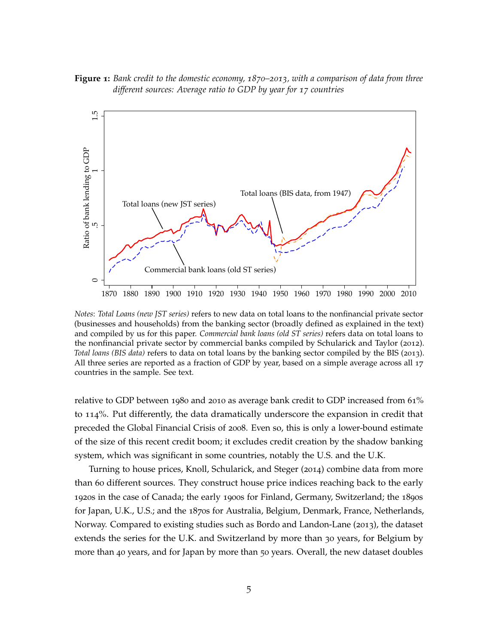<span id="page-6-0"></span>**Figure 1:** *Bank credit to the domestic economy, 1870–2013, with a comparison of data from three different sources: Average ratio to GDP by year for 17 countries*



*Notes*: *Total Loans (new JST series)* refers to new data on total loans to the nonfinancial private sector (businesses and households) from the banking sector (broadly defined as explained in the text) and compiled by us for this paper. *Commercial bank loans (old ST series)* refers data on total loans to the nonfinancial private sector by commercial banks compiled by Schularick and Taylor (2012). *Total loans (BIS data)* refers to data on total loans by the banking sector compiled by the BIS (2013). All three series are reported as a fraction of GDP by year, based on a simple average across all 17 countries in the sample. See text.

relative to GDP between 1980 and 2010 as average bank credit to GDP increased from 61% to 114%. Put differently, the data dramatically underscore the expansion in credit that preceded the Global Financial Crisis of 2008. Even so, this is only a lower-bound estimate of the size of this recent credit boom; it excludes credit creation by the shadow banking system, which was significant in some countries, notably the U.S. and the U.K.

Turning to house prices, Knoll, Schularick, and Steger (2014) combine data from more than 60 different sources. They construct house price indices reaching back to the early 1920s in the case of Canada; the early 1900s for Finland, Germany, Switzerland; the 1890s for Japan, U.K., U.S.; and the 1870s for Australia, Belgium, Denmark, France, Netherlands, Norway. Compared to existing studies such as Bordo and Landon-Lane (2013), the dataset extends the series for the U.K. and Switzerland by more than 30 years, for Belgium by more than 40 years, and for Japan by more than 50 years. Overall, the new dataset doubles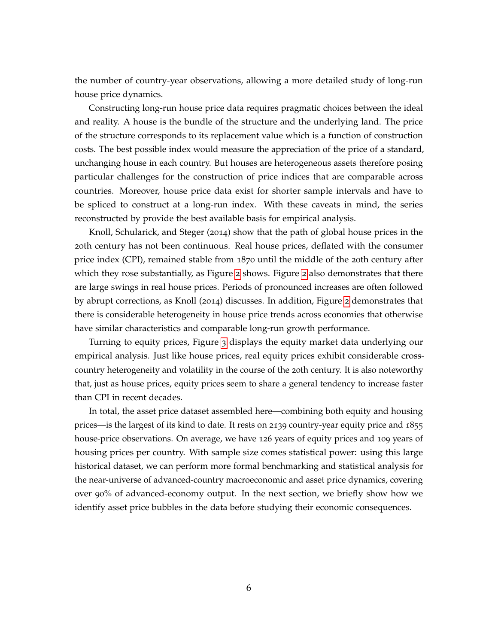the number of country-year observations, allowing a more detailed study of long-run house price dynamics.

Constructing long-run house price data requires pragmatic choices between the ideal and reality. A house is the bundle of the structure and the underlying land. The price of the structure corresponds to its replacement value which is a function of construction costs. The best possible index would measure the appreciation of the price of a standard, unchanging house in each country. But houses are heterogeneous assets therefore posing particular challenges for the construction of price indices that are comparable across countries. Moreover, house price data exist for shorter sample intervals and have to be spliced to construct at a long-run index. With these caveats in mind, the series reconstructed by provide the best available basis for empirical analysis.

Knoll, Schularick, and Steger (2014) show that the path of global house prices in the 20th century has not been continuous. Real house prices, deflated with the consumer price index (CPI), remained stable from 1870 until the middle of the 20th century after which they rose substantially, as Figure [2](#page-8-0) shows. Figure [2](#page-8-0) also demonstrates that there are large swings in real house prices. Periods of pronounced increases are often followed by abrupt corrections, as Knoll (2014) discusses. In addition, Figure [2](#page-8-0) demonstrates that there is considerable heterogeneity in house price trends across economies that otherwise have similar characteristics and comparable long-run growth performance.

Turning to equity prices, Figure [3](#page-9-0) displays the equity market data underlying our empirical analysis. Just like house prices, real equity prices exhibit considerable crosscountry heterogeneity and volatility in the course of the 20th century. It is also noteworthy that, just as house prices, equity prices seem to share a general tendency to increase faster than CPI in recent decades.

In total, the asset price dataset assembled here—combining both equity and housing prices—is the largest of its kind to date. It rests on 2139 country-year equity price and 1855 house-price observations. On average, we have 126 years of equity prices and 109 years of housing prices per country. With sample size comes statistical power: using this large historical dataset, we can perform more formal benchmarking and statistical analysis for the near-universe of advanced-country macroeconomic and asset price dynamics, covering over 90% of advanced-economy output. In the next section, we briefly show how we identify asset price bubbles in the data before studying their economic consequences.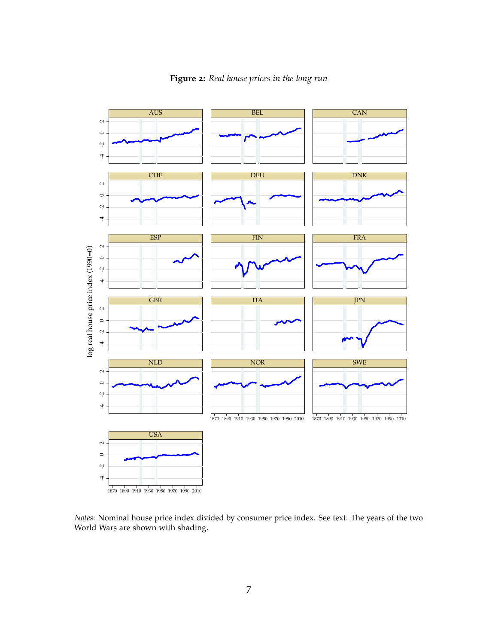<span id="page-8-0"></span>

**Figure 2:** *Real house prices in the long run*

*Notes*: Nominal house price index divided by consumer price index. See text. The years of the two World Wars are shown with shading.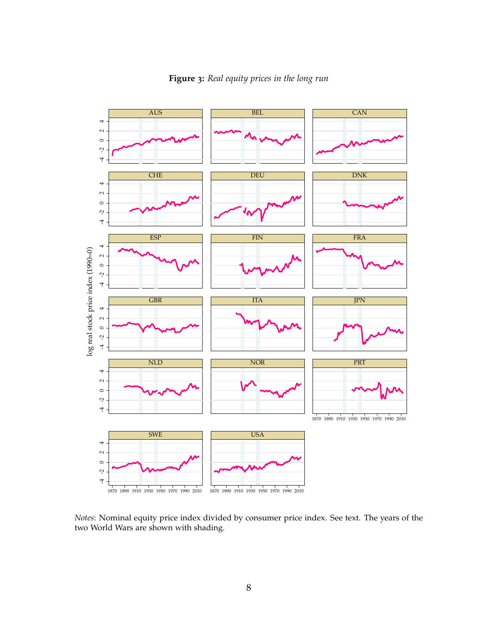<span id="page-9-0"></span>

**Figure 3:** *Real equity prices in the long run*

*Notes*: Nominal equity price index divided by consumer price index. See text. The years of the two World Wars are shown with shading.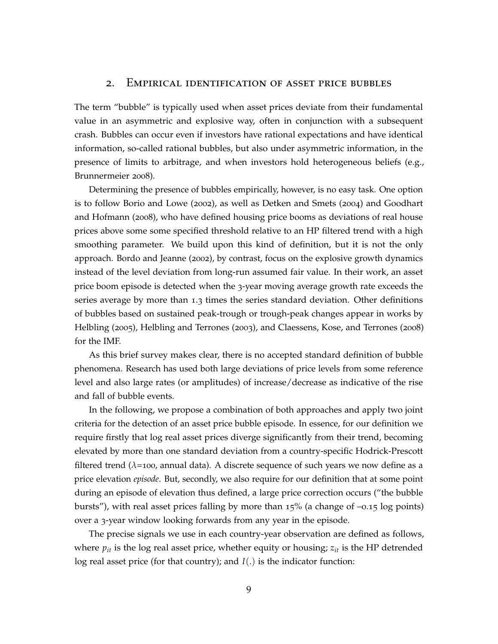#### 2. Empirical identification of asset price bubbles

The term "bubble" is typically used when asset prices deviate from their fundamental value in an asymmetric and explosive way, often in conjunction with a subsequent crash. Bubbles can occur even if investors have rational expectations and have identical information, so-called rational bubbles, but also under asymmetric information, in the presence of limits to arbitrage, and when investors hold heterogeneous beliefs (e.g., Brunnermeier 2008).

Determining the presence of bubbles empirically, however, is no easy task. One option is to follow Borio and Lowe (2002), as well as Detken and Smets (2004) and Goodhart and Hofmann (2008), who have defined housing price booms as deviations of real house prices above some some specified threshold relative to an HP filtered trend with a high smoothing parameter. We build upon this kind of definition, but it is not the only approach. Bordo and Jeanne (2002), by contrast, focus on the explosive growth dynamics instead of the level deviation from long-run assumed fair value. In their work, an asset price boom episode is detected when the 3-year moving average growth rate exceeds the series average by more than 1.3 times the series standard deviation. Other definitions of bubbles based on sustained peak-trough or trough-peak changes appear in works by Helbling (2005), Helbling and Terrones (2003), and Claessens, Kose, and Terrones (2008) for the IMF.

As this brief survey makes clear, there is no accepted standard definition of bubble phenomena. Research has used both large deviations of price levels from some reference level and also large rates (or amplitudes) of increase/decrease as indicative of the rise and fall of bubble events.

In the following, we propose a combination of both approaches and apply two joint criteria for the detection of an asset price bubble episode. In essence, for our definition we require firstly that log real asset prices diverge significantly from their trend, becoming elevated by more than one standard deviation from a country-specific Hodrick-Prescott filtered trend ( $\lambda$ =100, annual data). A discrete sequence of such years we now define as a price elevation *episode*. But, secondly, we also require for our definition that at some point during an episode of elevation thus defined, a large price correction occurs ("the bubble bursts"), with real asset prices falling by more than 15% (a change of –0.15 log points) over a 3-year window looking forwards from any year in the episode.

The precise signals we use in each country-year observation are defined as follows, where  $p_{it}$  is the log real asset price, whether equity or housing;  $z_{it}$  is the HP detrended log real asset price (for that country); and *I*(.) is the indicator function: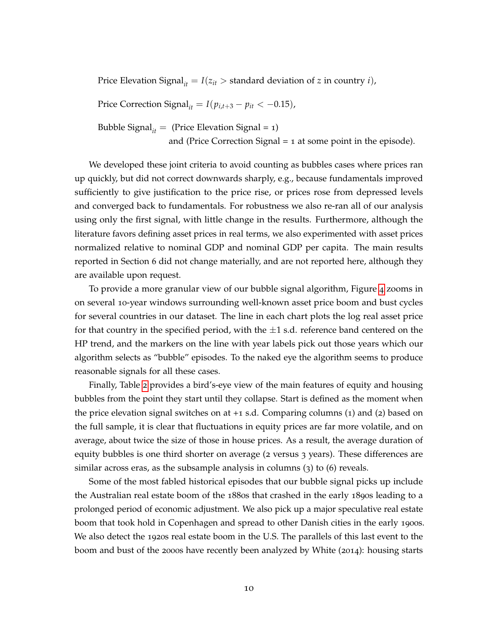Price Elevation Signal<sub>*it*</sub> = *I*( $z$ <sup>*it*</sup> > standard deviation of *z* in country *i*),

Price Correction Signal<sub>it</sub> =  $I(p_{i,t+3} - p_{it} < -0.15)$ ,

Bubble Signal<sub>it</sub> = (Price Elevation Signal =  $1$ ) and (Price Correction Signal  $=$  1 at some point in the episode).

We developed these joint criteria to avoid counting as bubbles cases where prices ran up quickly, but did not correct downwards sharply, e.g., because fundamentals improved sufficiently to give justification to the price rise, or prices rose from depressed levels and converged back to fundamentals. For robustness we also re-ran all of our analysis using only the first signal, with little change in the results. Furthermore, although the literature favors defining asset prices in real terms, we also experimented with asset prices normalized relative to nominal GDP and nominal GDP per capita. The main results reported in Section 6 did not change materially, and are not reported here, although they are available upon request.

To provide a more granular view of our bubble signal algorithm, Figure [4](#page-12-0) zooms in on several 10-year windows surrounding well-known asset price boom and bust cycles for several countries in our dataset. The line in each chart plots the log real asset price for that country in the specified period, with the  $\pm 1$  s.d. reference band centered on the HP trend, and the markers on the line with year labels pick out those years which our algorithm selects as "bubble" episodes. To the naked eye the algorithm seems to produce reasonable signals for all these cases.

Finally, Table [2](#page-13-0) provides a bird's-eye view of the main features of equity and housing bubbles from the point they start until they collapse. Start is defined as the moment when the price elevation signal switches on at  $+1$  s.d. Comparing columns  $(1)$  and  $(2)$  based on the full sample, it is clear that fluctuations in equity prices are far more volatile, and on average, about twice the size of those in house prices. As a result, the average duration of equity bubbles is one third shorter on average (2 versus 3 years). These differences are similar across eras, as the subsample analysis in columns (3) to (6) reveals.

Some of the most fabled historical episodes that our bubble signal picks up include the Australian real estate boom of the 1880s that crashed in the early 1890s leading to a prolonged period of economic adjustment. We also pick up a major speculative real estate boom that took hold in Copenhagen and spread to other Danish cities in the early 1900s. We also detect the 1920s real estate boom in the U.S. The parallels of this last event to the boom and bust of the 2000s have recently been analyzed by White (2014): housing starts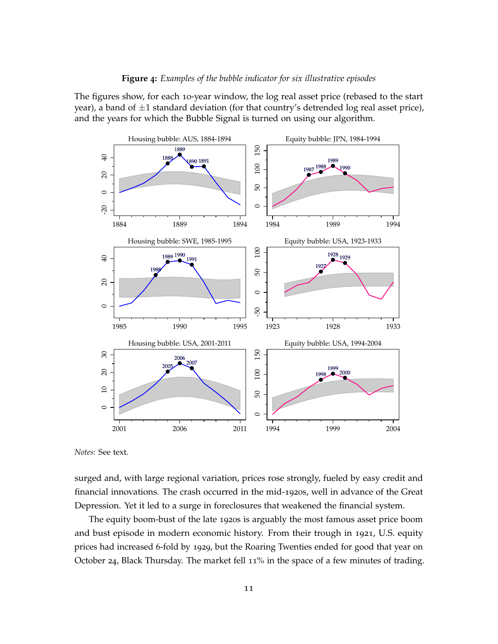<span id="page-12-0"></span>The figures show, for each 10-year window, the log real asset price (rebased to the start year), a band of  $\pm 1$  standard deviation (for that country's detrended log real asset price), and the years for which the Bubble Signal is turned on using our algorithm.



*Notes*: See text.

surged and, with large regional variation, prices rose strongly, fueled by easy credit and financial innovations. The crash occurred in the mid-1920s, well in advance of the Great Depression. Yet it led to a surge in foreclosures that weakened the financial system.

The equity boom-bust of the late 1920s is arguably the most famous asset price boom and bust episode in modern economic history. From their trough in 1921, U.S. equity prices had increased 6-fold by 1929, but the Roaring Twenties ended for good that year on October 24, Black Thursday. The market fell 11% in the space of a few minutes of trading.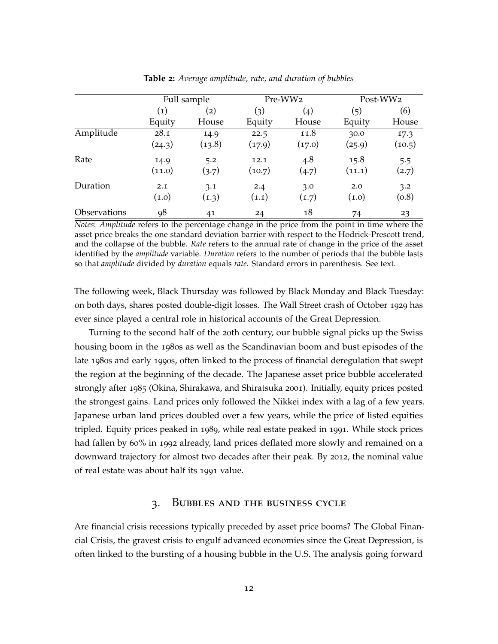<span id="page-13-0"></span>

|                            | Full sample       |                   |                | Pre-WW2            | Post-WW2       |              |
|----------------------------|-------------------|-------------------|----------------|--------------------|----------------|--------------|
|                            | $\left( 1\right)$ | $\left( 2\right)$ | (3)            | $\left( 4 \right)$ | (5)            | (6)          |
|                            | Equity            | House             | Equity         | House              | Equity         | House        |
| Amplitude                  | 28.1              | 14.9              | 22.5           | 11.8               | 30.0           | 17.3         |
|                            | (24.3)            | (13.8)            | (17.9)         | (17.0)             | (25.9)         | (10.5)       |
| Rate                       | 14.9<br>(11.0)    | 5.2<br>(3.7)      | 12.1<br>(10.7) | 4.8<br>(4.7)       | 15.8<br>(11.1) | 5.5<br>(2.7) |
| Duration                   | 2.1<br>(1.0)      | 3.1<br>(1.3)      | 2.4<br>(1.1)   | 3.0<br>(1.7)       | 2.0<br>(1.0)   | 3.2<br>(0.8) |
| <i><b>Observations</b></i> | 98                | 41                | 24             | 18                 | 74             | 23           |

**Table 2:** *Average amplitude, rate, and duration of bubbles*

*Notes*: *Amplitude* refers to the percentage change in the price from the point in time where the asset price breaks the one standard deviation barrier with respect to the Hodrick-Prescott trend, and the collapse of the bubble. *Rate* refers to the annual rate of change in the price of the asset identified by the *amplitude* variable. *Duration* refers to the number of periods that the bubble lasts so that *amplitude* divided by *duration* equals *rate*. Standard errors in parenthesis. See text.

The following week, Black Thursday was followed by Black Monday and Black Tuesday: on both days, shares posted double-digit losses. The Wall Street crash of October 1929 has ever since played a central role in historical accounts of the Great Depression.

Turning to the second half of the 20th century, our bubble signal picks up the Swiss housing boom in the 1980s as well as the Scandinavian boom and bust episodes of the late 1980s and early 1990s, often linked to the process of financial deregulation that swept the region at the beginning of the decade. The Japanese asset price bubble accelerated strongly after 1985 (Okina, Shirakawa, and Shiratsuka 2001). Initially, equity prices posted the strongest gains. Land prices only followed the Nikkei index with a lag of a few years. Japanese urban land prices doubled over a few years, while the price of listed equities tripled. Equity prices peaked in 1989, while real estate peaked in 1991. While stock prices had fallen by 60% in 1992 already, land prices deflated more slowly and remained on a downward trajectory for almost two decades after their peak. By 2012, the nominal value of real estate was about half its 1991 value.

### 3. Bubbles and the business cycle

<span id="page-13-1"></span>Are financial crisis recessions typically preceded by asset price booms? The Global Financial Crisis, the gravest crisis to engulf advanced economies since the Great Depression, is often linked to the bursting of a housing bubble in the U.S. The analysis going forward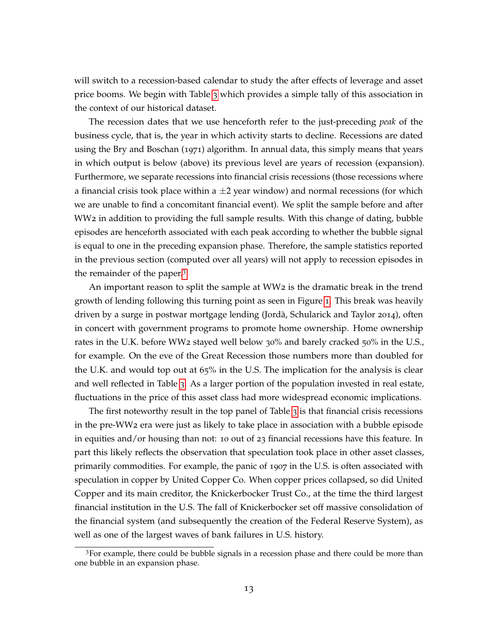will switch to a recession-based calendar to study the after effects of leverage and asset price booms. We begin with Table [3](#page-15-0) which provides a simple tally of this association in the context of our historical dataset.

The recession dates that we use henceforth refer to the just-preceding *peak* of the business cycle, that is, the year in which activity starts to decline. Recessions are dated using the Bry and Boschan (1971) algorithm. In annual data, this simply means that years in which output is below (above) its previous level are years of recession (expansion). Furthermore, we separate recessions into financial crisis recessions (those recessions where a financial crisis took place within a  $\pm 2$  year window) and normal recessions (for which we are unable to find a concomitant financial event). We split the sample before and after WW2 in addition to providing the full sample results. With this change of dating, bubble episodes are henceforth associated with each peak according to whether the bubble signal is equal to one in the preceding expansion phase. Therefore, the sample statistics reported in the previous section (computed over all years) will not apply to recession episodes in the remainder of the paper.[3](#page-14-0)

An important reason to split the sample at WW2 is the dramatic break in the trend growth of lending following this turning point as seen in Figure [1](#page-6-0). This break was heavily driven by a surge in postwar mortgage lending (Jordà, Schularick and Taylor 2014), often in concert with government programs to promote home ownership. Home ownership rates in the U.K. before WW2 stayed well below 30% and barely cracked 50% in the U.S., for example. On the eve of the Great Recession those numbers more than doubled for the U.K. and would top out at 65% in the U.S. The implication for the analysis is clear and well reflected in Table [3](#page-15-0). As a larger portion of the population invested in real estate, fluctuations in the price of this asset class had more widespread economic implications.

The first noteworthy result in the top panel of Table [3](#page-15-0) is that financial crisis recessions in the pre-WW2 era were just as likely to take place in association with a bubble episode in equities and/or housing than not: 10 out of 23 financial recessions have this feature. In part this likely reflects the observation that speculation took place in other asset classes, primarily commodities. For example, the panic of 1907 in the U.S. is often associated with speculation in copper by United Copper Co. When copper prices collapsed, so did United Copper and its main creditor, the Knickerbocker Trust Co., at the time the third largest financial institution in the U.S. The fall of Knickerbocker set off massive consolidation of the financial system (and subsequently the creation of the Federal Reserve System), as well as one of the largest waves of bank failures in U.S. history.

<span id="page-14-0"></span><sup>&</sup>lt;sup>3</sup>For example, there could be bubble signals in a recession phase and there could be more than one bubble in an expansion phase.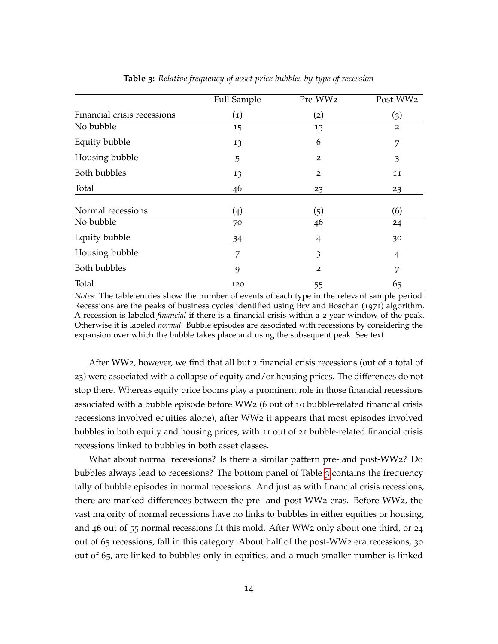<span id="page-15-0"></span>

|                             | <b>Full Sample</b> | Pre-WW2           | Post-WW2       |
|-----------------------------|--------------------|-------------------|----------------|
| Financial crisis recessions | $\left( 1\right)$  | $\left( 2\right)$ | (3)            |
| No bubble                   | 15                 | 13                | $\overline{2}$ |
| Equity bubble               | 13                 | 6                 | 7              |
| Housing bubble              | 5                  | $\overline{2}$    | 3              |
| Both bubbles                | 13                 | $\overline{2}$    | 11             |
| Total                       | 46                 | 23                | 23             |
| Normal recessions           | (4)                | (5)               | (6)            |
| No bubble                   | 70                 | 46                | 24             |
| Equity bubble               | 34                 | 4                 | 30             |
| Housing bubble              | 7                  | 3                 | 4              |
| <b>Both bubbles</b>         | 9                  | $\overline{2}$    | 7              |
| Total                       | 120                | 55                | 65             |

**Table 3:** *Relative frequency of asset price bubbles by type of recession*

*Notes*: The table entries show the number of events of each type in the relevant sample period. Recessions are the peaks of business cycles identified using Bry and Boschan (1971) algorithm. A recession is labeled *financial* if there is a financial crisis within a 2 year window of the peak. Otherwise it is labeled *normal*. Bubble episodes are associated with recessions by considering the expansion over which the bubble takes place and using the subsequent peak. See text.

After WW2, however, we find that all but 2 financial crisis recessions (out of a total of 23) were associated with a collapse of equity and/or housing prices. The differences do not stop there. Whereas equity price booms play a prominent role in those financial recessions associated with a bubble episode before WW2 (6 out of 10 bubble-related financial crisis recessions involved equities alone), after WW2 it appears that most episodes involved bubbles in both equity and housing prices, with 11 out of 21 bubble-related financial crisis recessions linked to bubbles in both asset classes.

What about normal recessions? Is there a similar pattern pre- and post-WW2? Do bubbles always lead to recessions? The bottom panel of Table [3](#page-15-0) contains the frequency tally of bubble episodes in normal recessions. And just as with financial crisis recessions, there are marked differences between the pre- and post-WW2 eras. Before WW2, the vast majority of normal recessions have no links to bubbles in either equities or housing, and 46 out of 55 normal recessions fit this mold. After WW2 only about one third, or 24 out of 65 recessions, fall in this category. About half of the post-WW2 era recessions, 30 out of 65, are linked to bubbles only in equities, and a much smaller number is linked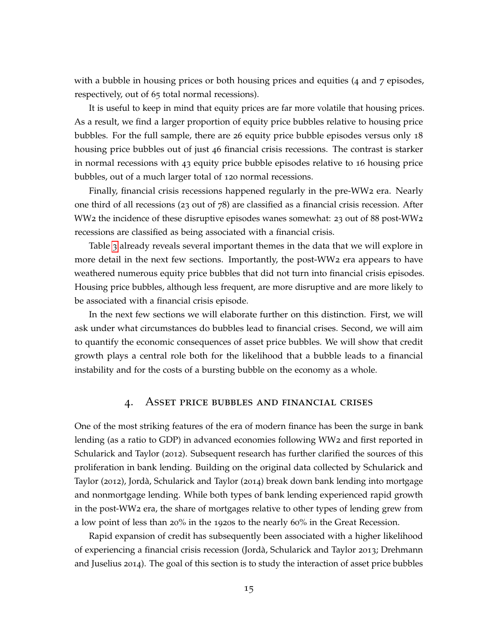with a bubble in housing prices or both housing prices and equities (4 and 7 episodes, respectively, out of 65 total normal recessions).

It is useful to keep in mind that equity prices are far more volatile that housing prices. As a result, we find a larger proportion of equity price bubbles relative to housing price bubbles. For the full sample, there are 26 equity price bubble episodes versus only 18 housing price bubbles out of just 46 financial crisis recessions. The contrast is starker in normal recessions with 43 equity price bubble episodes relative to 16 housing price bubbles, out of a much larger total of 120 normal recessions.

Finally, financial crisis recessions happened regularly in the pre-WW2 era. Nearly one third of all recessions (23 out of  $78$ ) are classified as a financial crisis recession. After WW<sub>2</sub> the incidence of these disruptive episodes wanes somewhat: 23 out of 88 post-WW<sub>2</sub> recessions are classified as being associated with a financial crisis.

Table [3](#page-15-0) already reveals several important themes in the data that we will explore in more detail in the next few sections. Importantly, the post-WW2 era appears to have weathered numerous equity price bubbles that did not turn into financial crisis episodes. Housing price bubbles, although less frequent, are more disruptive and are more likely to be associated with a financial crisis episode.

In the next few sections we will elaborate further on this distinction. First, we will ask under what circumstances do bubbles lead to financial crises. Second, we will aim to quantify the economic consequences of asset price bubbles. We will show that credit growth plays a central role both for the likelihood that a bubble leads to a financial instability and for the costs of a bursting bubble on the economy as a whole.

### 4. Asset price bubbles and financial crises

<span id="page-16-0"></span>One of the most striking features of the era of modern finance has been the surge in bank lending (as a ratio to GDP) in advanced economies following WW2 and first reported in Schularick and Taylor (2012). Subsequent research has further clarified the sources of this proliferation in bank lending. Building on the original data collected by Schularick and Taylor (2012), Jordà, Schularick and Taylor (2014) break down bank lending into mortgage and nonmortgage lending. While both types of bank lending experienced rapid growth in the post-WW2 era, the share of mortgages relative to other types of lending grew from a low point of less than 20% in the 1920s to the nearly 60% in the Great Recession.

Rapid expansion of credit has subsequently been associated with a higher likelihood of experiencing a financial crisis recession (Jordà, Schularick and Taylor 2013; Drehmann and Juselius 2014). The goal of this section is to study the interaction of asset price bubbles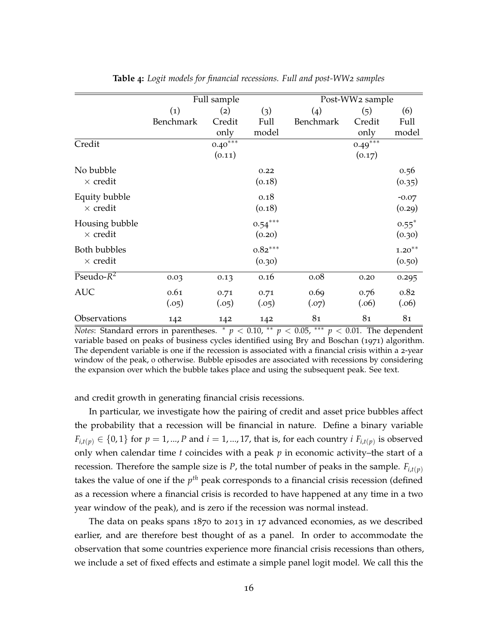<span id="page-17-0"></span>

|                                   |                   | Full sample             |                     |               | Post-WW2 sample       |                     |
|-----------------------------------|-------------------|-------------------------|---------------------|---------------|-----------------------|---------------------|
|                                   | $\left( 1\right)$ | (2)                     | (3)                 | (4)           | (5)                   | (6)                 |
|                                   | <b>Benchmark</b>  | Credit                  | Full                | Benchmark     | Credit                | Full                |
|                                   |                   | only                    | model               |               | only                  | model               |
| Credit                            |                   | $0.40^{\overline{***}}$ |                     |               | $0.49$ <sup>***</sup> |                     |
|                                   |                   | (0.11)                  |                     |               | (0.17)                |                     |
| No bubble<br>$\times$ credit      |                   |                         | 0.22<br>(0.18)      |               |                       | 0.56<br>(0.35)      |
| Equity bubble<br>$\times$ credit  |                   |                         | 0.18<br>(0.18)      |               |                       | $-0.07$<br>(0.29)   |
| Housing bubble<br>$\times$ credit |                   |                         | $0.54***$<br>(0.20) |               |                       | $0.55^*$<br>(0.30)  |
| Both bubbles<br>$\times$ credit   |                   |                         | $0.82***$<br>(0.30) |               |                       | $1.20***$<br>(0.50) |
| $Pseudo-R^2$                      | 0.03              | 0.13                    | 0.16                | 0.08          | 0.20                  | 0.295               |
| <b>AUC</b>                        | 0.61<br>(.05)     | 0.71<br>(.05)           | 0.71<br>(.05)       | 0.69<br>(.07) | 0.76<br>(.06)         | 0.82<br>(.06)       |
| Observations                      | 142               | 142                     | 142                 | 81            | 81                    | 81                  |

**Table 4:** *Logit models for financial recessions. Full and post-WW2 samples*

*Notes*: Standard errors in parentheses. <sup>∗</sup> *p* < 0.10, ∗∗ *p* < 0.05, ∗∗∗ *p* < 0.01. The dependent variable based on peaks of business cycles identified using Bry and Boschan (1971) algorithm. The dependent variable is one if the recession is associated with a financial crisis within a 2-year window of the peak, 0 otherwise. Bubble episodes are associated with recessions by considering the expansion over which the bubble takes place and using the subsequent peak. See text.

and credit growth in generating financial crisis recessions.

In particular, we investigate how the pairing of credit and asset price bubbles affect the probability that a recession will be financial in nature. Define a binary variable  $F_{i,t(p)} \in \{0,1\}$  for  $p = 1, ..., P$  and  $i = 1, ..., 17$ , that is, for each country  $i$   $F_{i,t(p)}$  is observed only when calendar time *t* coincides with a peak *p* in economic activity–the start of a recession. Therefore the sample size is  $P$ , the total number of peaks in the sample.  $F_{i,t}(p)$ takes the value of one if the  $p^{th}$  peak corresponds to a financial crisis recession (defined as a recession where a financial crisis is recorded to have happened at any time in a two year window of the peak), and is zero if the recession was normal instead.

The data on peaks spans 1870 to 2013 in 17 advanced economies, as we described earlier, and are therefore best thought of as a panel. In order to accommodate the observation that some countries experience more financial crisis recessions than others, we include a set of fixed effects and estimate a simple panel logit model. We call this the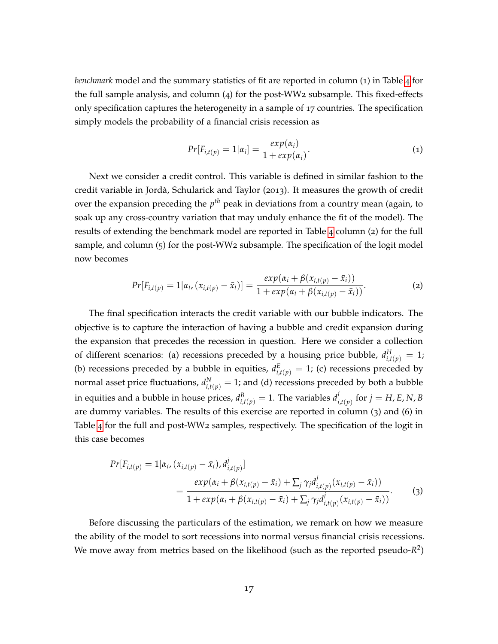*benchmark* model and the summary statistics of fit are reported in column (1) in Table [4](#page-17-0) for the full sample analysis, and column (4) for the post-WW2 subsample. This fixed-effects only specification captures the heterogeneity in a sample of 17 countries. The specification simply models the probability of a financial crisis recession as

$$
Pr[F_{i,t(p)} = 1|\alpha_i] = \frac{exp(\alpha_i)}{1 + exp(\alpha_i)}.
$$
\n(1)

Next we consider a credit control. This variable is defined in similar fashion to the credit variable in Jordà, Schularick and Taylor  $(2013)$ . It measures the growth of credit over the expansion preceding the *p th* peak in deviations from a country mean (again, to soak up any cross-country variation that may unduly enhance the fit of the model). The results of extending the benchmark model are reported in Table [4](#page-17-0) column (2) for the full sample, and column (5) for the post-WW2 subsample. The specification of the logit model now becomes

$$
Pr[F_{i,t(p)} = 1 | \alpha_{i}, (x_{i,t(p)} - \bar{x}_i)] = \frac{exp(\alpha_i + \beta(x_{i,t(p)} - \bar{x}_i))}{1 + exp(\alpha_i + \beta(x_{i,t(p)} - \bar{x}_i))}.
$$
 (2)

The final specification interacts the credit variable with our bubble indicators. The objective is to capture the interaction of having a bubble and credit expansion during the expansion that precedes the recession in question. Here we consider a collection of different scenarios: (a) recessions preceded by a housing price bubble,  $d_{i,t(p)}^H = 1$ ; (b) recessions preceded by a bubble in equities,  $d_{i,t(p)}^E = 1$ ; (c) recessions preceded by normal asset price fluctuations,  $d_{i,t(p)}^N = 1$ ; and (d) recessions preceded by both a bubble in equities and a bubble in house prices,  $d_{i,t(p)}^B = 1$ . The variables  $d_i^j$  $\int_{i,t(p)}^{f}$  for  $j = H, E, N, B$ are dummy variables. The results of this exercise are reported in column (3) and (6) in Table [4](#page-17-0) for the full and post-WW2 samples, respectively. The specification of the logit in this case becomes

$$
Pr[F_{i,t(p)} = 1 | \alpha_i, (x_{i,t(p)} - \bar{x}_i), d_{i,t(p)}^j]
$$
  
= 
$$
\frac{exp(\alpha_i + \beta(x_{i,t(p)} - \bar{x}_i) + \sum_j \gamma_j d_{i,t(p)}^j (x_{i,t(p)} - \bar{x}_i))}{1 + exp(\alpha_i + \beta(x_{i,t(p)} - \bar{x}_i) + \sum_j \gamma_j d_{i,t(p)}^j (x_{i,t(p)} - \bar{x}_i))}.
$$
 (3)

Before discussing the particulars of the estimation, we remark on how we measure the ability of the model to sort recessions into normal versus financial crisis recessions. We move away from metrics based on the likelihood (such as the reported pseudo-*R* 2 )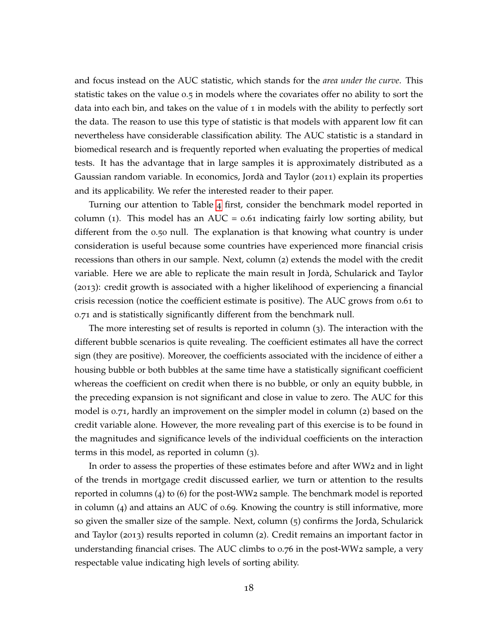and focus instead on the AUC statistic, which stands for the *area under the curve*. This statistic takes on the value 0.5 in models where the covariates offer no ability to sort the data into each bin, and takes on the value of 1 in models with the ability to perfectly sort the data. The reason to use this type of statistic is that models with apparent low fit can nevertheless have considerable classification ability. The AUC statistic is a standard in biomedical research and is frequently reported when evaluating the properties of medical tests. It has the advantage that in large samples it is approximately distributed as a Gaussian random variable. In economics, Jordà and Taylor (2011) explain its properties and its applicability. We refer the interested reader to their paper.

Turning our attention to Table [4](#page-17-0) first, consider the benchmark model reported in column (1). This model has an AUC =  $0.61$  indicating fairly low sorting ability, but different from the 0.50 null. The explanation is that knowing what country is under consideration is useful because some countries have experienced more financial crisis recessions than others in our sample. Next, column (2) extends the model with the credit variable. Here we are able to replicate the main result in Jorda, Schularick and Taylor ` (2013): credit growth is associated with a higher likelihood of experiencing a financial crisis recession (notice the coefficient estimate is positive). The AUC grows from 0.61 to 0.71 and is statistically significantly different from the benchmark null.

The more interesting set of results is reported in column (3). The interaction with the different bubble scenarios is quite revealing. The coefficient estimates all have the correct sign (they are positive). Moreover, the coefficients associated with the incidence of either a housing bubble or both bubbles at the same time have a statistically significant coefficient whereas the coefficient on credit when there is no bubble, or only an equity bubble, in the preceding expansion is not significant and close in value to zero. The AUC for this model is 0.71, hardly an improvement on the simpler model in column (2) based on the credit variable alone. However, the more revealing part of this exercise is to be found in the magnitudes and significance levels of the individual coefficients on the interaction terms in this model, as reported in column (3).

In order to assess the properties of these estimates before and after WW2 and in light of the trends in mortgage credit discussed earlier, we turn or attention to the results reported in columns (4) to (6) for the post-WW2 sample. The benchmark model is reported in column (4) and attains an AUC of 0.69. Knowing the country is still informative, more so given the smaller size of the sample. Next, column (5) confirms the Jorda, Schularick ` and Taylor (2013) results reported in column (2). Credit remains an important factor in understanding financial crises. The AUC climbs to 0.76 in the post-WW2 sample, a very respectable value indicating high levels of sorting ability.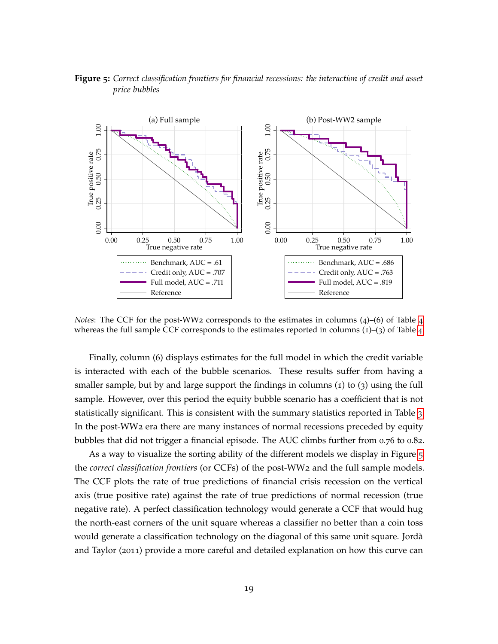<span id="page-20-0"></span>



*Notes*: The CCF for the post-WW2 corresponds to the estimates in columns ([4](#page-17-0))–(6) of Table 4 whereas the full sample CCF corresponds to the estimates reported in columns  $(1)$ – $(3)$  of Table [4](#page-17-0).

Finally, column (6) displays estimates for the full model in which the credit variable is interacted with each of the bubble scenarios. These results suffer from having a smaller sample, but by and large support the findings in columns (1) to (3) using the full sample. However, over this period the equity bubble scenario has a coefficient that is not statistically significant. This is consistent with the summary statistics reported in Table [3](#page-15-0). In the post-WW2 era there are many instances of normal recessions preceded by equity bubbles that did not trigger a financial episode. The AUC climbs further from 0.76 to 0.82.

As a way to visualize the sorting ability of the different models we display in Figure [5](#page-20-0) the *correct classification frontiers* (or CCFs) of the post-WW2 and the full sample models. The CCF plots the rate of true predictions of financial crisis recession on the vertical axis (true positive rate) against the rate of true predictions of normal recession (true negative rate). A perfect classification technology would generate a CCF that would hug the north-east corners of the unit square whereas a classifier no better than a coin toss would generate a classification technology on the diagonal of this same unit square. Jorda` and Taylor (2011) provide a more careful and detailed explanation on how this curve can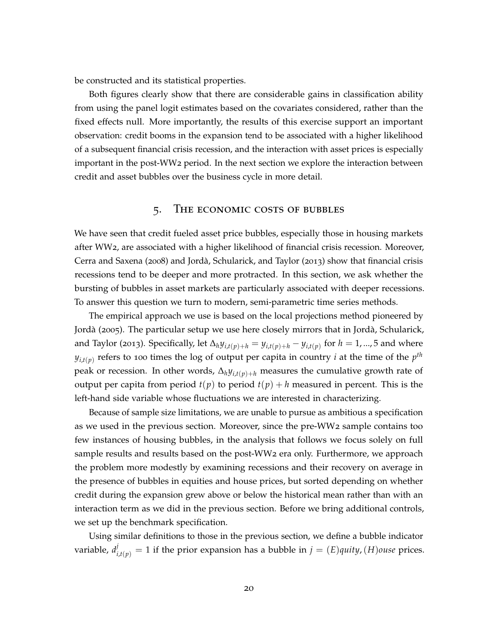be constructed and its statistical properties.

Both figures clearly show that there are considerable gains in classification ability from using the panel logit estimates based on the covariates considered, rather than the fixed effects null. More importantly, the results of this exercise support an important observation: credit booms in the expansion tend to be associated with a higher likelihood of a subsequent financial crisis recession, and the interaction with asset prices is especially important in the post-WW2 period. In the next section we explore the interaction between credit and asset bubbles over the business cycle in more detail.

#### 5. The economic costs of bubbles

We have seen that credit fueled asset price bubbles, especially those in housing markets after WW2, are associated with a higher likelihood of financial crisis recession. Moreover, Cerra and Saxena (2008) and Jordà, Schularick, and Taylor (2013) show that financial crisis recessions tend to be deeper and more protracted. In this section, we ask whether the bursting of bubbles in asset markets are particularly associated with deeper recessions. To answer this question we turn to modern, semi-parametric time series methods.

The empirical approach we use is based on the local projections method pioneered by Jordà (2005). The particular setup we use here closely mirrors that in Jordà, Schularick, and Taylor (2013). Specifically, let  $\Delta_h y_{i,t(p)+h} = y_{i,t(p)+h} - y_{i,t(p)}$  for  $h = 1, ..., 5$  and where  $y_{i,t(p)}$  refers to 100 times the log of output per capita in country *i* at the time of the  $p^{th}$ peak or recession. In other words, ∆*hyi*,*t*(*p*)+*<sup>h</sup>* measures the cumulative growth rate of output per capita from period  $t(p)$  to period  $t(p) + h$  measured in percent. This is the left-hand side variable whose fluctuations we are interested in characterizing.

Because of sample size limitations, we are unable to pursue as ambitious a specification as we used in the previous section. Moreover, since the pre-WW2 sample contains too few instances of housing bubbles, in the analysis that follows we focus solely on full sample results and results based on the post-WW2 era only. Furthermore, we approach the problem more modestly by examining recessions and their recovery on average in the presence of bubbles in equities and house prices, but sorted depending on whether credit during the expansion grew above or below the historical mean rather than with an interaction term as we did in the previous section. Before we bring additional controls, we set up the benchmark specification.

Using similar definitions to those in the previous section, we define a bubble indicator variable,  $d^{j}_{i,t(p)} = 1$  if the prior expansion has a bubble in  $j = (E)$ *quity*,  $(H)$ *ouse* prices.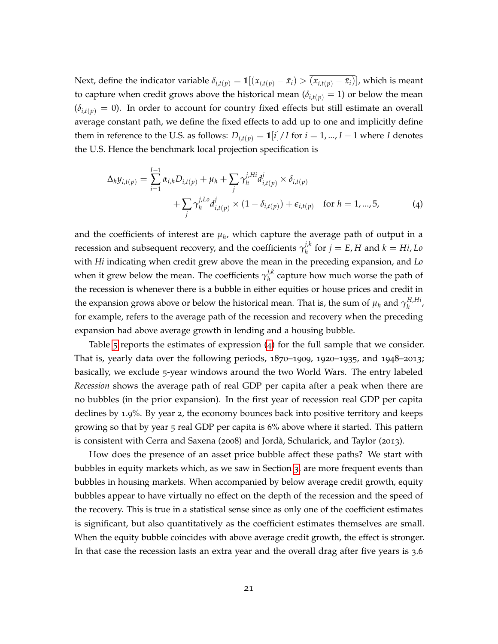Next, define the indicator variable  $\delta_{i,t(p)} = \mathbf{1}[(x_{i,t(p)} - \bar{x}_i) > \overline{(x_{i,t(p)} - \bar{x}_i)}]$ , which is meant to capture when credit grows above the historical mean ( $\delta_{i,t(p)} = 1$ ) or below the mean  $(\delta_{i,t(p)} = 0)$ . In order to account for country fixed effects but still estimate an overall average constant path, we define the fixed effects to add up to one and implicitly define them in reference to the U.S. as follows:  $D_{i,t(p)} = 1[i]/I$  for  $i = 1, ..., I-1$  where *I* denotes the U.S. Hence the benchmark local projection specification is

<span id="page-22-0"></span>
$$
\Delta_h y_{i,t(p)} = \sum_{i=1}^{I-1} \alpha_{i,h} D_{i,t(p)} + \mu_h + \sum_j \gamma_h^{j,Hi} d_{i,t(p)}^j \times \delta_{i,t(p)} + \sum_j \gamma_h^{j, Lo} d_{i,t(p)}^j \times (1 - \delta_{i,t(p)}) + \epsilon_{i,t(p)} \quad \text{for } h = 1, ..., 5,
$$
 (4)

and the coefficients of interest are  $\mu_h$ , which capture the average path of output in a recession and subsequent recovery, and the coefficients  $\gamma_h^{j,k}$  $\int_h^{f,k}$  for  $j = E$ , *H* and  $k = Hi$ , *Lo* with *Hi* indicating when credit grew above the mean in the preceding expansion, and *Lo* when it grew below the mean. The coefficients  $\gamma_h^{j,k}$ *h* capture how much worse the path of the recession is whenever there is a bubble in either equities or house prices and credit in the expansion grows above or below the historical mean. That is, the sum of  $\mu_h$  and  $\gamma_h^{H,Hi}$ *h* , for example, refers to the average path of the recession and recovery when the preceding expansion had above average growth in lending and a housing bubble.

Table [5](#page-23-0) reports the estimates of expression ([4](#page-22-0)) for the full sample that we consider. That is, yearly data over the following periods, 1870–1909, 1920–1935, and 1948–2013; basically, we exclude 5-year windows around the two World Wars. The entry labeled *Recession* shows the average path of real GDP per capita after a peak when there are no bubbles (in the prior expansion). In the first year of recession real GDP per capita declines by 1.9%. By year 2, the economy bounces back into positive territory and keeps growing so that by year  $\overline{5}$  real GDP per capita is 6% above where it started. This pattern is consistent with Cerra and Saxena ( $2008$ ) and Jordà, Schularick, and Taylor ( $2013$ ).

How does the presence of an asset price bubble affect these paths? We start with bubbles in equity markets which, as we saw in Section [3](#page-13-1), are more frequent events than bubbles in housing markets. When accompanied by below average credit growth, equity bubbles appear to have virtually no effect on the depth of the recession and the speed of the recovery. This is true in a statistical sense since as only one of the coefficient estimates is significant, but also quantitatively as the coefficient estimates themselves are small. When the equity bubble coincides with above average credit growth, the effect is stronger. In that case the recession lasts an extra year and the overall drag after five years is 3.6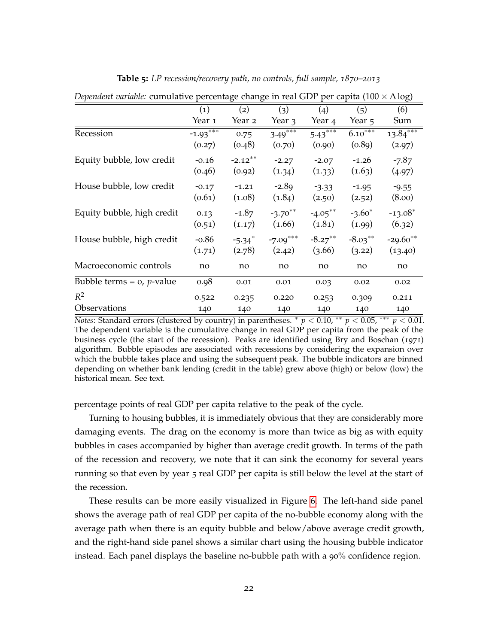|                                           | $\left( 1\right)$ | (2)                  | (3)        | (4)                   | (5)        | (6)        |
|-------------------------------------------|-------------------|----------------------|------------|-----------------------|------------|------------|
|                                           | Year 1            | Year 2               | Year 3     | Year 4                | Year 5     | Sum        |
| Recession                                 | $-1.93***$        | 0.75                 | $3.49$ *** | $5.43$ <sup>***</sup> | $6.10***$  | $13.84***$ |
|                                           | (0.27)            | (0.48)               | (0.70)     | (0.90)                | (0.89)     | (2.97)     |
| Equity bubble, low credit                 | $-0.16$           | $-2.12***$           | $-2.27$    | $-2.07$               | $-1.26$    | $-7.87$    |
|                                           | (0.46)            | (0.92)               | (1.34)     | (1.33)                | (1.63)     | (4.97)     |
| House bubble, low credit                  | $-0.17$           | $-1.21$              | $-2.89$    | $-3.33$               | $-1.95$    | $-9.55$    |
|                                           | (0.61)            | (1.08)               | (1.84)     | (2.50)                | (2.52)     | (8.00)     |
| Equity bubble, high credit                | 0.13              | $-1.87$              | $-3.70***$ | $-4.05***$            | $-3.60*$   | $-13.08*$  |
|                                           | (0.51)            | (1.17)               | (1.66)     | (1.81)                | (1.99)     | (6.32)     |
| House bubble, high credit                 | $-0.86$           | $-5.34$ <sup>*</sup> | $-7.09***$ | $-8.27***$            | $-8.03***$ | $-29.60**$ |
|                                           | (1.71)            | (2.78)               | (2.42)     | (3.66)                | (3.22)     | (13.40)    |
| Macroeconomic controls                    | no                | no                   | no         | no                    | no         | no         |
| Bubble terms = $\sigma$ , <i>p</i> -value | 0.98              | 0.01                 | 0.01       | 0.03                  | 0.02       | 0.02       |
| $R^2$                                     | 0.522             | 0.235                | 0.220      | 0.253                 | 0.309      | 0.211      |
| Observations                              | 140               | 140                  | 140        | 140                   | 140        | 140        |

**Table 5:** *LP recession/recovery path, no controls, full sample, 1870–2013*

<span id="page-23-0"></span>*Dependent variable:* cumulative percentage change in real GDP per capita (100 × ∆ log)

*Notes*: Standard errors (clustered by country) in parentheses. <sup>∗</sup> *p* < 0.10, ∗∗ *p* < 0.05, ∗∗∗ *p* < 0.01. The dependent variable is the cumulative change in real GDP per capita from the peak of the business cycle (the start of the recession). Peaks are identified using Bry and Boschan (1971) algorithm. Bubble episodes are associated with recessions by considering the expansion over which the bubble takes place and using the subsequent peak. The bubble indicators are binned depending on whether bank lending (credit in the table) grew above (high) or below (low) the historical mean. See text.

percentage points of real GDP per capita relative to the peak of the cycle.

Turning to housing bubbles, it is immediately obvious that they are considerably more damaging events. The drag on the economy is more than twice as big as with equity bubbles in cases accompanied by higher than average credit growth. In terms of the path of the recession and recovery, we note that it can sink the economy for several years running so that even by year 5 real GDP per capita is still below the level at the start of the recession.

These results can be more easily visualized in Figure [6](#page-24-0). The left-hand side panel shows the average path of real GDP per capita of the no-bubble economy along with the average path when there is an equity bubble and below/above average credit growth, and the right-hand side panel shows a similar chart using the housing bubble indicator instead. Each panel displays the baseline no-bubble path with a 90% confidence region.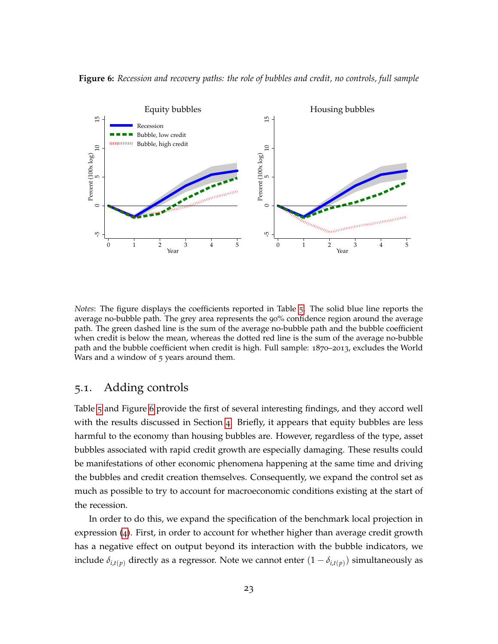<span id="page-24-0"></span>



*Notes*: The figure displays the coefficients reported in Table [5](#page-23-0). The solid blue line reports the average no-bubble path. The grey area represents the 90% confidence region around the average path. The green dashed line is the sum of the average no-bubble path and the bubble coefficient when credit is below the mean, whereas the dotted red line is the sum of the average no-bubble path and the bubble coefficient when credit is high. Full sample: 1870–2013, excludes the World Wars and a window of 5 years around them.

# 5.1. Adding controls

Table [5](#page-23-0) and Figure [6](#page-24-0) provide the first of several interesting findings, and they accord well with the results discussed in Section [4](#page-16-0). Briefly, it appears that equity bubbles are less harmful to the economy than housing bubbles are. However, regardless of the type, asset bubbles associated with rapid credit growth are especially damaging. These results could be manifestations of other economic phenomena happening at the same time and driving the bubbles and credit creation themselves. Consequently, we expand the control set as much as possible to try to account for macroeconomic conditions existing at the start of the recession.

In order to do this, we expand the specification of the benchmark local projection in expression ([4](#page-22-0)). First, in order to account for whether higher than average credit growth has a negative effect on output beyond its interaction with the bubble indicators, we include  $\delta_{i,t(p)}$  directly as a regressor. Note we cannot enter  $(1 - \delta_{i,t(p)})$  simultaneously as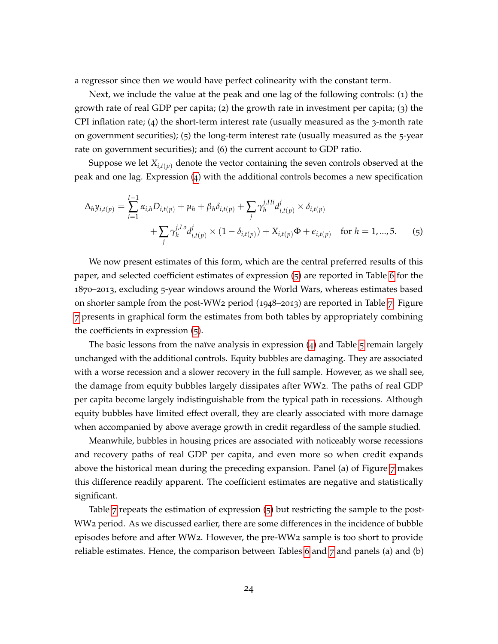a regressor since then we would have perfect colinearity with the constant term.

Next, we include the value at the peak and one lag of the following controls: (1) the growth rate of real GDP per capita; (2) the growth rate in investment per capita; (3) the CPI inflation rate; (4) the short-term interest rate (usually measured as the 3-month rate on government securities); (5) the long-term interest rate (usually measured as the 5-year rate on government securities); and (6) the current account to GDP ratio.

Suppose we let  $X_{i,t}(p)$  denote the vector containing the seven controls observed at the peak and one lag. Expression ([4](#page-22-0)) with the additional controls becomes a new specification

<span id="page-25-0"></span>
$$
\Delta_h y_{i,t(p)} = \sum_{i=1}^{I-1} \alpha_{i,h} D_{i,t(p)} + \mu_h + \beta_h \delta_{i,t(p)} + \sum_j \gamma_h^{j,Hi} d_{i,t(p)}^j \times \delta_{i,t(p)} \n+ \sum_j \gamma_h^{j, Lo} d_{i,t(p)}^j \times (1 - \delta_{i,t(p)}) + X_{i,t(p)} \Phi + \epsilon_{i,t(p)} \quad \text{for } h = 1, ..., 5.
$$
\n(5)

We now present estimates of this form, which are the central preferred results of this paper, and selected coefficient estimates of expression ([5](#page-25-0)) are reported in Table [6](#page-27-0) for the 1870–2013, excluding 5-year windows around the World Wars, whereas estimates based on shorter sample from the post-WW2 period (1948–2013) are reported in Table [7](#page-28-0). Figure [7](#page-26-0) presents in graphical form the estimates from both tables by appropriately combining the coefficients in expression ([5](#page-25-0)).

The basic lessons from the naïve analysis in expression  $(4)$  $(4)$  $(4)$  and Table [5](#page-23-0) remain largely unchanged with the additional controls. Equity bubbles are damaging. They are associated with a worse recession and a slower recovery in the full sample. However, as we shall see, the damage from equity bubbles largely dissipates after WW2. The paths of real GDP per capita become largely indistinguishable from the typical path in recessions. Although equity bubbles have limited effect overall, they are clearly associated with more damage when accompanied by above average growth in credit regardless of the sample studied.

Meanwhile, bubbles in housing prices are associated with noticeably worse recessions and recovery paths of real GDP per capita, and even more so when credit expands above the historical mean during the preceding expansion. Panel (a) of Figure  $7$  makes this difference readily apparent. The coefficient estimates are negative and statistically significant.

Table [7](#page-28-0) repeats the estimation of expression ([5](#page-25-0)) but restricting the sample to the post-WW2 period. As we discussed earlier, there are some differences in the incidence of bubble episodes before and after WW2. However, the pre-WW2 sample is too short to provide reliable estimates. Hence, the comparison between Tables [6](#page-27-0) and  $7$  and panels (a) and (b)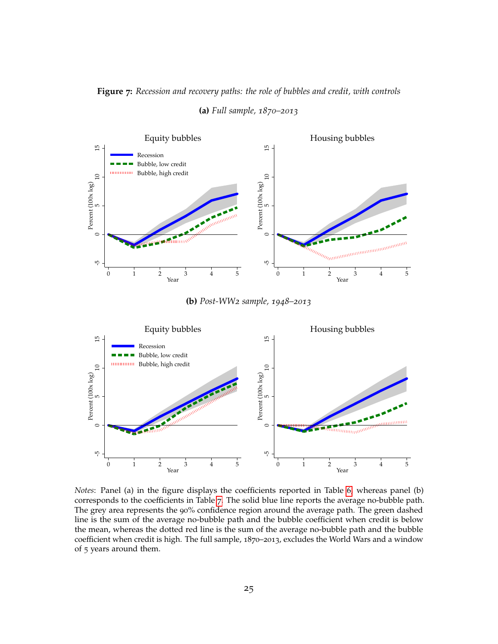<span id="page-26-0"></span>**Figure 7:** *Recession and recovery paths: the role of bubbles and credit, with controls*



**(a)** *Full sample, 1870–2013*

**(b)** *Post-WW2 sample, 1948–2013*



*Notes*: Panel (a) in the figure displays the coefficients reported in Table [6](#page-27-0), whereas panel (b) corresponds to the coefficients in Table [7](#page-28-0). The solid blue line reports the average no-bubble path. The grey area represents the 90% confidence region around the average path. The green dashed line is the sum of the average no-bubble path and the bubble coefficient when credit is below the mean, whereas the dotted red line is the sum of the average no-bubble path and the bubble coefficient when credit is high. The full sample, 1870–2013, excludes the World Wars and a window of 5 years around them.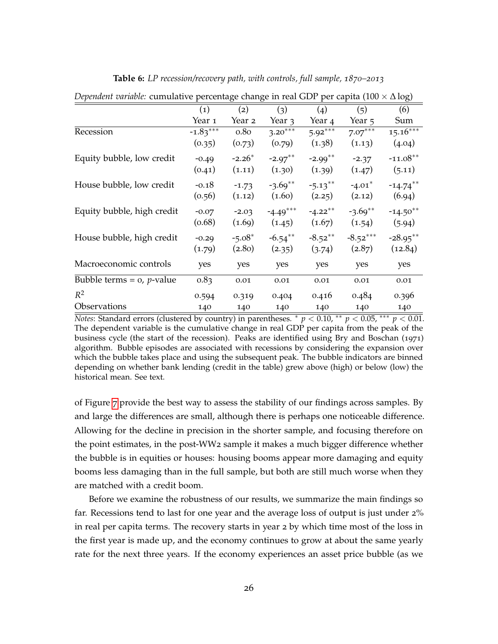|                                      | (1)        | (2)              | (3)        | (4)                   | (5)        | (6)         |
|--------------------------------------|------------|------------------|------------|-----------------------|------------|-------------|
|                                      | Year 1     | Year 2           | Year 3     | Year 4                | Year 5     | Sum         |
| Recession                            | $-1.83***$ | 0.8 <sub>0</sub> | $3.20***$  | $5.92***$             | $7.07***$  | $15.16***$  |
|                                      | (0.35)     | (0.73)           | (0.79)     | (1.38)                | (1.13)     | (4.04)      |
| Equity bubble, low credit            | $-0.49$    | $-2.26*$         | $-2.97***$ | $-2.99$ <sup>**</sup> | $-2.37$    | $-11.08**$  |
|                                      | (0.41)     | (1.11)           | (1.30)     | (1.39)                | (1.47)     | (5.11)      |
| House bubble, low credit             | $-0.18$    | $-1.73$          | $-3.69**$  | $-5.13***$            | $-4.01*$   | $-14.74***$ |
|                                      | (0.56)     | (1.12)           | (1.60)     | (2.25)                | (2.12)     | (6.94)      |
| Equity bubble, high credit           | $-0.07$    | $-2.03$          | $-4.49***$ | $-4.22**$             | $-3.69**$  | $-14.50**$  |
|                                      | (0.68)     | (1.69)           | (1.45)     | (1.67)                | (1.54)     | (5.94)      |
| House bubble, high credit            | $-0.29$    | $-5.08*$         | $-6.54***$ | $-8.52**$             | $-8.52***$ | $-28.95***$ |
|                                      | (1.79)     | (2.80)           | (2.35)     | (3.74)                | (2.87)     | (12.84)     |
| Macroeconomic controls               | yes        | yes              | yes        | yes                   | yes        | yes         |
| Bubble terms = $o$ , <i>p</i> -value | 0.83       | 0.01             | 0.01       | 0.01                  | 0.01       | 0.01        |
| $R^2$                                | 0.594      | 0.319            | 0.404      | 0.416                 | 0.484      | 0.396       |
| Observations                         | 140        | 140              | 140        | 140                   | 140        | 140         |

**Table 6:** *LP recession/recovery path, with controls, full sample, 1870–2013*

<span id="page-27-0"></span>*Dependent variable:* cumulative percentage change in real GDP per capita (100 × ∆ log)

of Figure [7](#page-26-0) provide the best way to assess the stability of our findings across samples. By and large the differences are small, although there is perhaps one noticeable difference. Allowing for the decline in precision in the shorter sample, and focusing therefore on the point estimates, in the post-WW2 sample it makes a much bigger difference whether the bubble is in equities or houses: housing booms appear more damaging and equity booms less damaging than in the full sample, but both are still much worse when they are matched with a credit boom.

Before we examine the robustness of our results, we summarize the main findings so far. Recessions tend to last for one year and the average loss of output is just under 2% in real per capita terms. The recovery starts in year 2 by which time most of the loss in the first year is made up, and the economy continues to grow at about the same yearly rate for the next three years. If the economy experiences an asset price bubble (as we

*Notes*: Standard errors (clustered by country) in parentheses. <sup>∗</sup> *p* < 0.10, ∗∗ *p* < 0.05, ∗∗∗ *p* < 0.01. The dependent variable is the cumulative change in real GDP per capita from the peak of the business cycle (the start of the recession). Peaks are identified using Bry and Boschan (1971) algorithm. Bubble episodes are associated with recessions by considering the expansion over which the bubble takes place and using the subsequent peak. The bubble indicators are binned depending on whether bank lending (credit in the table) grew above (high) or below (low) the historical mean. See text.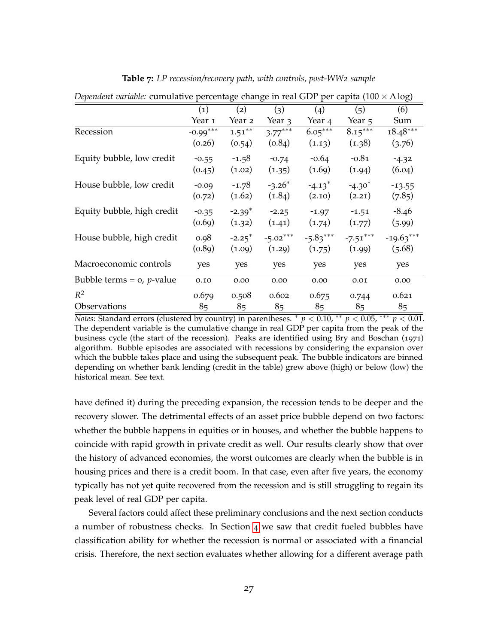|                                      |            | ັ                    | ັ          |            |            | $\overline{\mathsf{v}}$ |
|--------------------------------------|------------|----------------------|------------|------------|------------|-------------------------|
|                                      | (1)        | (2)                  | (3)        | (4)        | (5)        | (6)                     |
|                                      | Year 1     | Year 2               | Year 3     | Year 4     | Year 5     | Sum                     |
| Recession                            | $-0.99***$ | $1.51$ <sup>**</sup> | $3.77***$  | $6.05***$  | $8.15***$  | $18.48***$              |
|                                      | (0.26)     | (0.54)               | (0.84)     | (1.13)     | (1.38)     | (3.76)                  |
| Equity bubble, low credit            | $-0.55$    | $-1.58$              | $-0.74$    | $-0.64$    | $-0.81$    | $-4.32$                 |
|                                      | (0.45)     | (1.02)               | (1.35)     | (1.69)     | (1.94)     | (6.04)                  |
| House bubble, low credit             | $-0.09$    | $-1.78$              | $-3.26*$   | $-4.13*$   | $-4.30*$   | $-13.55$                |
|                                      | (0.72)     | (1.62)               | (1.84)     | (2.10)     | (2.21)     | (7.85)                  |
| Equity bubble, high credit           | $-0.35$    | $-2.39*$             | $-2.25$    | $-1.97$    | $-1.51$    | $-8.46$                 |
|                                      | (0.69)     | (1.32)               | (1.41)     | (1.74)     | (1.77)     | (5.99)                  |
| House bubble, high credit            | 0.98       | $-2.25^*$            | $-5.02***$ | $-5.83***$ | $-7.51***$ | $-19.63***$             |
|                                      | (0.89)     | (1.09)               | (1.29)     | (1.75)     | (1.99)     | (5.68)                  |
| Macroeconomic controls               | yes        | yes                  | yes        | yes        | yes        | yes                     |
| Bubble terms = $o$ , <i>p</i> -value | 0.10       | 0.00                 | 0.00       | 0.00       | 0.01       | 0.00                    |
| $R^2$                                | 0.679      | 0.508                | 0.602      | 0.675      | 0.744      | 0.621                   |
| Observations                         | 85         | 85                   | 85         | 85         | 85         | 85                      |

**Table 7:** *LP recession/recovery path, with controls, post-WW2 sample*

<span id="page-28-0"></span>*Dependent variable:* cumulative percentage change in real GDP per capita (100 × ∆ log)

*Notes*: Standard errors (clustered by country) in parentheses. <sup>∗</sup> *p* < 0.10, ∗∗ *p* < 0.05, ∗∗∗ *p* < 0.01. The dependent variable is the cumulative change in real GDP per capita from the peak of the business cycle (the start of the recession). Peaks are identified using Bry and Boschan (1971) algorithm. Bubble episodes are associated with recessions by considering the expansion over which the bubble takes place and using the subsequent peak. The bubble indicators are binned depending on whether bank lending (credit in the table) grew above (high) or below (low) the historical mean. See text.

have defined it) during the preceding expansion, the recession tends to be deeper and the recovery slower. The detrimental effects of an asset price bubble depend on two factors: whether the bubble happens in equities or in houses, and whether the bubble happens to coincide with rapid growth in private credit as well. Our results clearly show that over the history of advanced economies, the worst outcomes are clearly when the bubble is in housing prices and there is a credit boom. In that case, even after five years, the economy typically has not yet quite recovered from the recession and is still struggling to regain its peak level of real GDP per capita.

Several factors could affect these preliminary conclusions and the next section conducts a number of robustness checks. In Section [4](#page-16-0) we saw that credit fueled bubbles have classification ability for whether the recession is normal or associated with a financial crisis. Therefore, the next section evaluates whether allowing for a different average path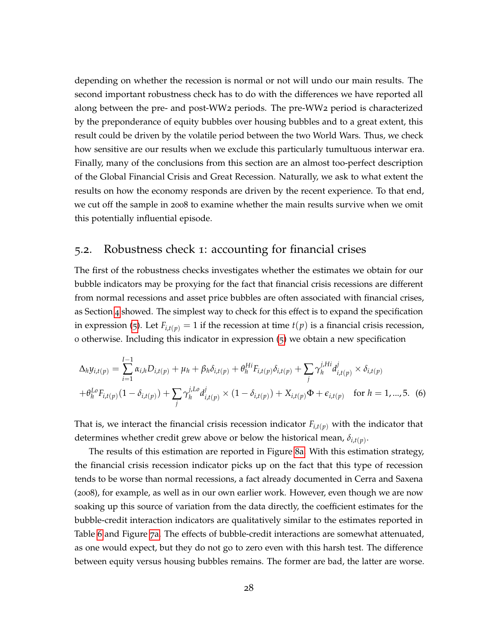depending on whether the recession is normal or not will undo our main results. The second important robustness check has to do with the differences we have reported all along between the pre- and post-WW2 periods. The pre-WW2 period is characterized by the preponderance of equity bubbles over housing bubbles and to a great extent, this result could be driven by the volatile period between the two World Wars. Thus, we check how sensitive are our results when we exclude this particularly tumultuous interwar era. Finally, many of the conclusions from this section are an almost too-perfect description of the Global Financial Crisis and Great Recession. Naturally, we ask to what extent the results on how the economy responds are driven by the recent experience. To that end, we cut off the sample in 2008 to examine whether the main results survive when we omit this potentially influential episode.

# 5.2. Robustness check 1: accounting for financial crises

The first of the robustness checks investigates whether the estimates we obtain for our bubble indicators may be proxying for the fact that financial crisis recessions are different from normal recessions and asset price bubbles are often associated with financial crises, as Section [4](#page-16-0) showed. The simplest way to check for this effect is to expand the specification in expression ([5](#page-25-0)). Let  $F_{i,t(p)} = 1$  if the recession at time  $t(p)$  is a financial crisis recession, 0 otherwise. Including this indicator in expression ([5](#page-25-0)) we obtain a new specification

$$
\Delta_h y_{i,t(p)} = \sum_{i=1}^{I-1} \alpha_{i,h} D_{i,t(p)} + \mu_h + \beta_h \delta_{i,t(p)} + \theta_h^{Hi} F_{i,t(p)} \delta_{i,t(p)} + \sum_j \gamma_h^{j, Hi} d_{i,t(p)}^j \times \delta_{i,t(p)} + \theta_h^{Lo} F_{i,t(p)} (1 - \delta_{i,t(p)}) + \sum_j \gamma_h^{j, Lo} d_{i,t(p)}^j \times (1 - \delta_{i,t(p)}) + X_{i,t(p)} \Phi + \epsilon_{i,t(p)} \quad \text{for } h = 1, ..., 5.
$$
 (6)

That is, we interact the financial crisis recession indicator  $F_{i,t(p)}$  with the indicator that determines whether credit grew above or below the historical mean, *δi*,*t*(*p*) .

The results of this estimation are reported in Figure 8[a.](#page-30-0) With this estimation strategy, the financial crisis recession indicator picks up on the fact that this type of recession tends to be worse than normal recessions, a fact already documented in Cerra and Saxena (2008), for example, as well as in our own earlier work. However, even though we are now soaking up this source of variation from the data directly, the coefficient estimates for the bubble-credit interaction indicators are qualitatively similar to the estimates reported in Table [6](#page-27-0) and Figure 7[a.](#page-26-0) The effects of bubble-credit interactions are somewhat attenuated, as one would expect, but they do not go to zero even with this harsh test. The difference between equity versus housing bubbles remains. The former are bad, the latter are worse.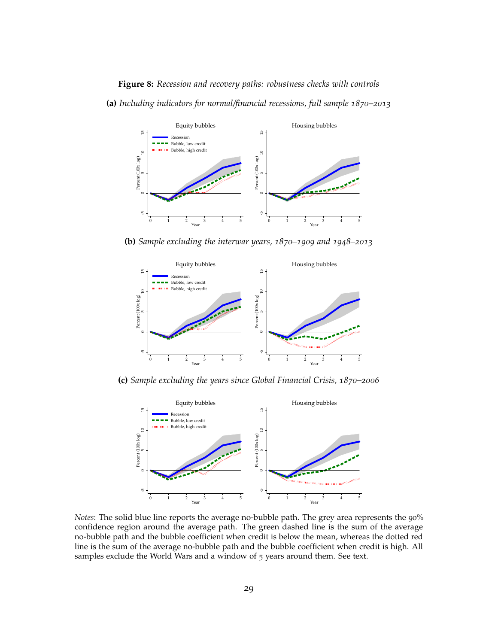<span id="page-30-0"></span>**Figure 8:** *Recession and recovery paths: robustness checks with controls* **(a)** *Including indicators for normal/financial recessions, full sample 1870–2013*



**(b)** *Sample excluding the interwar years, 1870–1909 and 1948–2013*



**(c)** *Sample excluding the years since Global Financial Crisis, 1870–2006*



*Notes*: The solid blue line reports the average no-bubble path. The grey area represents the 90% confidence region around the average path. The green dashed line is the sum of the average no-bubble path and the bubble coefficient when credit is below the mean, whereas the dotted red line is the sum of the average no-bubble path and the bubble coefficient when credit is high. All samples exclude the World Wars and a window of 5 years around them. See text.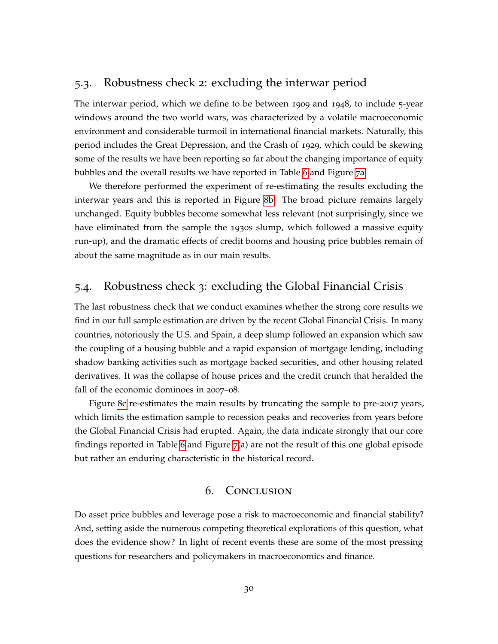# 5.3. Robustness check 2: excluding the interwar period

The interwar period, which we define to be between 1909 and 1948, to include 5-year windows around the two world wars, was characterized by a volatile macroeconomic environment and considerable turmoil in international financial markets. Naturally, this period includes the Great Depression, and the Crash of 1929, which could be skewing some of the results we have been reporting so far about the changing importance of equity bubbles and the overall results we have reported in Table [6](#page-27-0) and Figure 7[a.](#page-26-0)

We therefore performed the experiment of re-estimating the results excluding the interwar years and this is reported in Figure 8[b.](#page-30-0) The broad picture remains largely unchanged. Equity bubbles become somewhat less relevant (not surprisingly, since we have eliminated from the sample the 1930s slump, which followed a massive equity run-up), and the dramatic effects of credit booms and housing price bubbles remain of about the same magnitude as in our main results.

# 5.4. Robustness check 3: excluding the Global Financial Crisis

The last robustness check that we conduct examines whether the strong core results we find in our full sample estimation are driven by the recent Global Financial Crisis. In many countries, notoriously the U.S. and Spain, a deep slump followed an expansion which saw the coupling of a housing bubble and a rapid expansion of mortgage lending, including shadow banking activities such as mortgage backed securities, and other housing related derivatives. It was the collapse of house prices and the credit crunch that heralded the fall of the economic dominoes in 2007–08.

Figure 8[c](#page-30-0) re-estimates the main results by truncating the sample to pre-2007 years, which limits the estimation sample to recession peaks and recoveries from years before the Global Financial Crisis had erupted. Again, the data indicate strongly that our core findings reported in Table [6](#page-27-0) and Figure  $7(a)$  $7(a)$  are not the result of this one global episode but rather an enduring characteristic in the historical record.

## 6. Conclusion

Do asset price bubbles and leverage pose a risk to macroeconomic and financial stability? And, setting aside the numerous competing theoretical explorations of this question, what does the evidence show? In light of recent events these are some of the most pressing questions for researchers and policymakers in macroeconomics and finance.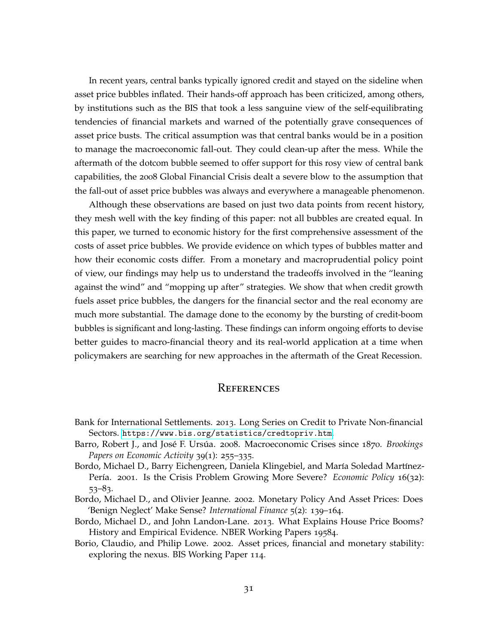In recent years, central banks typically ignored credit and stayed on the sideline when asset price bubbles inflated. Their hands-off approach has been criticized, among others, by institutions such as the BIS that took a less sanguine view of the self-equilibrating tendencies of financial markets and warned of the potentially grave consequences of asset price busts. The critical assumption was that central banks would be in a position to manage the macroeconomic fall-out. They could clean-up after the mess. While the aftermath of the dotcom bubble seemed to offer support for this rosy view of central bank capabilities, the 2008 Global Financial Crisis dealt a severe blow to the assumption that the fall-out of asset price bubbles was always and everywhere a manageable phenomenon.

Although these observations are based on just two data points from recent history, they mesh well with the key finding of this paper: not all bubbles are created equal. In this paper, we turned to economic history for the first comprehensive assessment of the costs of asset price bubbles. We provide evidence on which types of bubbles matter and how their economic costs differ. From a monetary and macroprudential policy point of view, our findings may help us to understand the tradeoffs involved in the "leaning against the wind" and "mopping up after" strategies. We show that when credit growth fuels asset price bubbles, the dangers for the financial sector and the real economy are much more substantial. The damage done to the economy by the bursting of credit-boom bubbles is significant and long-lasting. These findings can inform ongoing efforts to devise better guides to macro-financial theory and its real-world application at a time when policymakers are searching for new approaches in the aftermath of the Great Recession.

### **REFERENCES**

- Bank for International Settlements. 2013. Long Series on Credit to Private Non-financial Sectors. <https://www.bis.org/statistics/credtopriv.htm>.
- Barro, Robert J., and José F. Ursúa. 2008. Macroeconomic Crises since 1870. *Brookings Papers on Economic Activity* 39(1): 255–335.
- Bordo, Michael D., Barry Eichengreen, Daniela Klingebiel, and María Soledad Martínez-Pería. 2001. Is the Crisis Problem Growing More Severe? *Economic Policy* 16(32): 53–83.
- Bordo, Michael D., and Olivier Jeanne. 2002. Monetary Policy And Asset Prices: Does 'Benign Neglect' Make Sense? *International Finance* 5(2): 139–164.
- Bordo, Michael D., and John Landon-Lane. 2013. What Explains House Price Booms? History and Empirical Evidence. NBER Working Papers 19584.
- Borio, Claudio, and Philip Lowe. 2002. Asset prices, financial and monetary stability: exploring the nexus. BIS Working Paper 114.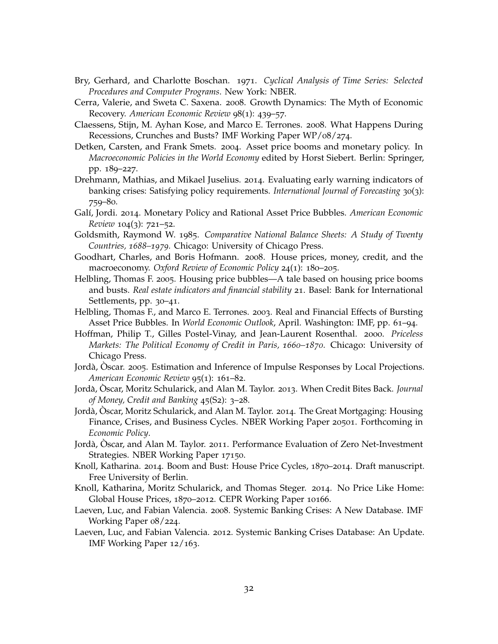- Bry, Gerhard, and Charlotte Boschan. 1971. *Cyclical Analysis of Time Series: Selected Procedures and Computer Programs*. New York: NBER.
- Cerra, Valerie, and Sweta C. Saxena. 2008. Growth Dynamics: The Myth of Economic Recovery. *American Economic Review* 98(1): 439–57.
- Claessens, Stijn, M. Ayhan Kose, and Marco E. Terrones. 2008. What Happens During Recessions, Crunches and Busts? IMF Working Paper WP/08/274.
- Detken, Carsten, and Frank Smets. 2004. Asset price booms and monetary policy. In *Macroeconomic Policies in the World Economy* edited by Horst Siebert. Berlin: Springer, pp. 189–227.
- Drehmann, Mathias, and Mikael Juselius. 2014. Evaluating early warning indicators of banking crises: Satisfying policy requirements. *International Journal of Forecasting* 30(3): 759–80.
- Galí, Jordi. 2014. Monetary Policy and Rational Asset Price Bubbles. American Economic *Review* 104(3): 721–52.
- Goldsmith, Raymond W. 1985. *Comparative National Balance Sheets: A Study of Twenty Countries, 1688–1979.* Chicago: University of Chicago Press.
- Goodhart, Charles, and Boris Hofmann. 2008. House prices, money, credit, and the macroeconomy. *Oxford Review of Economic Policy* 24(1): 180–205.
- Helbling, Thomas F. 2005. Housing price bubbles—A tale based on housing price booms and busts. *Real estate indicators and financial stability* 21. Basel: Bank for International Settlements, pp. 30-41.
- Helbling, Thomas F., and Marco E. Terrones. 2003. Real and Financial Effects of Bursting Asset Price Bubbles. In *World Economic Outlook*, April. Washington: IMF, pp. 61–94.
- Hoffman, Philip T., Gilles Postel-Vinay, and Jean-Laurent Rosenthal. 2000. *Priceless Markets: The Political Economy of Credit in Paris, 1660–1870.* Chicago: University of Chicago Press.
- Jordà, Oscar. 2005. Estimation and Inference of Impulse Responses by Local Projections. *American Economic Review* 95(1): 161–82.
- Jorda,` Oscar, Moritz Schularick, and Alan M. Taylor. ` 2013. When Credit Bites Back. *Journal of Money, Credit and Banking* 45(S2): 3–28.
- Jordà, Òscar, Moritz Schularick, and Alan M. Taylor. 2014. The Great Mortgaging: Housing Finance, Crises, and Business Cycles. NBER Working Paper 20501. Forthcoming in *Economic Policy*.
- Jordà, Oscar, and Alan M. Taylor. 2011. Performance Evaluation of Zero Net-Investment Strategies. NBER Working Paper 17150.
- Knoll, Katharina. 2014. Boom and Bust: House Price Cycles, 1870–2014. Draft manuscript. Free University of Berlin.
- Knoll, Katharina, Moritz Schularick, and Thomas Steger. 2014. No Price Like Home: Global House Prices, 1870–2012. CEPR Working Paper 10166.
- Laeven, Luc, and Fabian Valencia. 2008. Systemic Banking Crises: A New Database. IMF Working Paper 08/224.
- Laeven, Luc, and Fabian Valencia. 2012. Systemic Banking Crises Database: An Update. IMF Working Paper 12/163.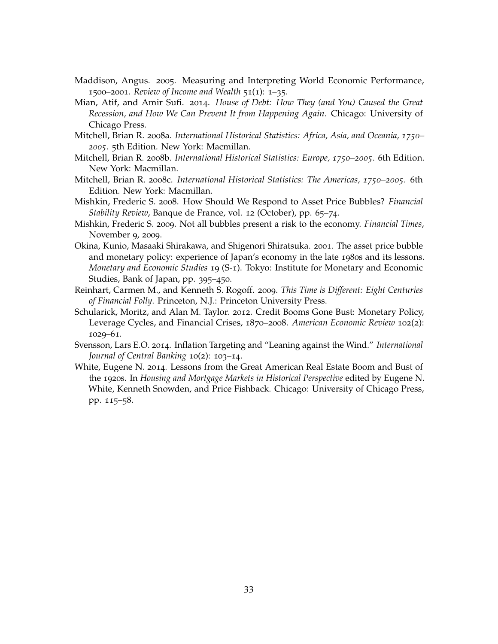- Maddison, Angus. 2005. Measuring and Interpreting World Economic Performance, 1500–2001. *Review of Income and Wealth* 51(1): 1–35.
- Mian, Atif, and Amir Sufi. 2014. *House of Debt: How They (and You) Caused the Great Recession, and How We Can Prevent It from Happening Again*. Chicago: University of Chicago Press.
- Mitchell, Brian R. 2008a. *International Historical Statistics: Africa, Asia, and Oceania, 1750– 2005*. 5th Edition. New York: Macmillan.
- Mitchell, Brian R. 2008b. *International Historical Statistics: Europe, 1750–2005*. 6th Edition. New York: Macmillan.
- Mitchell, Brian R. 2008c. *International Historical Statistics: The Americas, 1750–2005*. 6th Edition. New York: Macmillan.
- Mishkin, Frederic S. 2008. How Should We Respond to Asset Price Bubbles? *Financial Stability Review*, Banque de France, vol. 12 (October), pp. 65–74.
- Mishkin, Frederic S. 2009. Not all bubbles present a risk to the economy. *Financial Times*, November 9, 2009.
- Okina, Kunio, Masaaki Shirakawa, and Shigenori Shiratsuka. 2001. The asset price bubble and monetary policy: experience of Japan's economy in the late 1980s and its lessons. *Monetary and Economic Studies* 19 (S-1). Tokyo: Institute for Monetary and Economic Studies, Bank of Japan, pp. 395–450.
- Reinhart, Carmen M., and Kenneth S. Rogoff. 2009. *This Time is Different: Eight Centuries of Financial Folly*. Princeton, N.J.: Princeton University Press.
- Schularick, Moritz, and Alan M. Taylor. 2012. Credit Booms Gone Bust: Monetary Policy, Leverage Cycles, and Financial Crises, 1870–2008. *American Economic Review* 102(2): 1029–61.
- Svensson, Lars E.O. 2014. Inflation Targeting and "Leaning against the Wind." *International Journal of Central Banking* 10(2): 103–14.
- White, Eugene N. 2014. Lessons from the Great American Real Estate Boom and Bust of the 1920s. In *Housing and Mortgage Markets in Historical Perspective* edited by Eugene N. White, Kenneth Snowden, and Price Fishback. Chicago: University of Chicago Press, pp. 115–58.